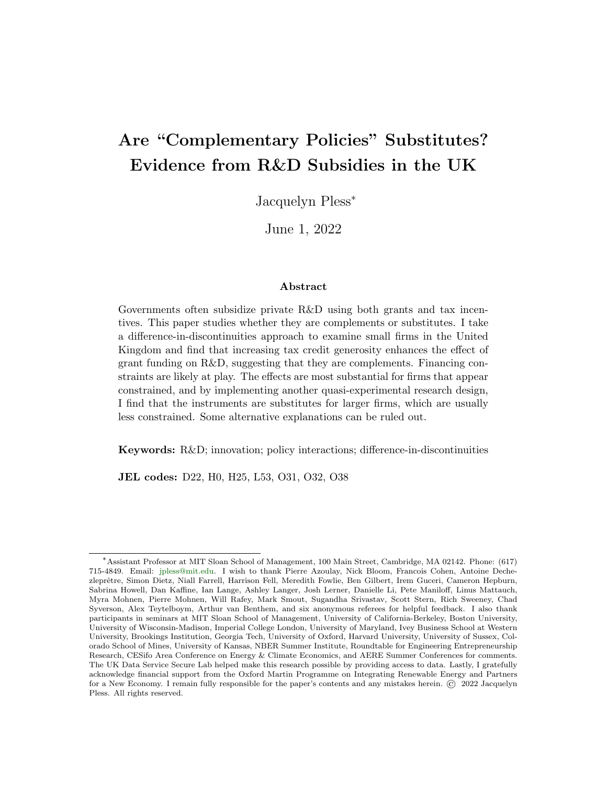# Are "Complementary Policies" Substitutes? Evidence from R&D Subsidies in the UK

Jacquelyn Pless<sup>∗</sup>

June 1, 2022

#### Abstract

Governments often subsidize private R&D using both grants and tax incentives. This paper studies whether they are complements or substitutes. I take a difference-in-discontinuities approach to examine small firms in the United Kingdom and find that increasing tax credit generosity enhances the effect of grant funding on  $R\&D$ , suggesting that they are complements. Financing constraints are likely at play. The effects are most substantial for firms that appear constrained, and by implementing another quasi-experimental research design, I find that the instruments are substitutes for larger firms, which are usually less constrained. Some alternative explanations can be ruled out.

Keywords: R&D; innovation; policy interactions; difference-in-discontinuities

JEL codes: D22, H0, H25, L53, O31, O32, O38

<sup>∗</sup>Assistant Professor at MIT Sloan School of Management, 100 Main Street, Cambridge, MA 02142. Phone: (617) 715-4849. Email: [jpless@mit.edu.](mailto: jpless@mit.edu) I wish to thank Pierre Azoulay, Nick Bloom, Francois Cohen, Antoine Dechezleprêtre, Simon Dietz, Niall Farrell, Harrison Fell, Meredith Fowlie, Ben Gilbert, Irem Guceri, Cameron Hepburn, Sabrina Howell, Dan Kaffine, Ian Lange, Ashley Langer, Josh Lerner, Danielle Li, Pete Maniloff, Linus Mattauch, Myra Mohnen, Pierre Mohnen, Will Rafey, Mark Smout, Sugandha Srivastav, Scott Stern, Rich Sweeney, Chad Syverson, Alex Teytelboym, Arthur van Benthem, and six anonymous referees for helpful feedback. I also thank participants in seminars at MIT Sloan School of Management, University of California-Berkeley, Boston University, University of Wisconsin-Madison, Imperial College London, University of Maryland, Ivey Business School at Western University, Brookings Institution, Georgia Tech, University of Oxford, Harvard University, University of Sussex, Colorado School of Mines, University of Kansas, NBER Summer Institute, Roundtable for Engineering Entrepreneurship Research, CESifo Area Conference on Energy & Climate Economics, and AERE Summer Conferences for comments. The UK Data Service Secure Lab helped make this research possible by providing access to data. Lastly, I gratefully acknowledge financial support from the Oxford Martin Programme on Integrating Renewable Energy and Partners for a New Economy. I remain fully responsible for the paper's contents and any mistakes herein. © 2022 Jacquelyn Pless. All rights reserved.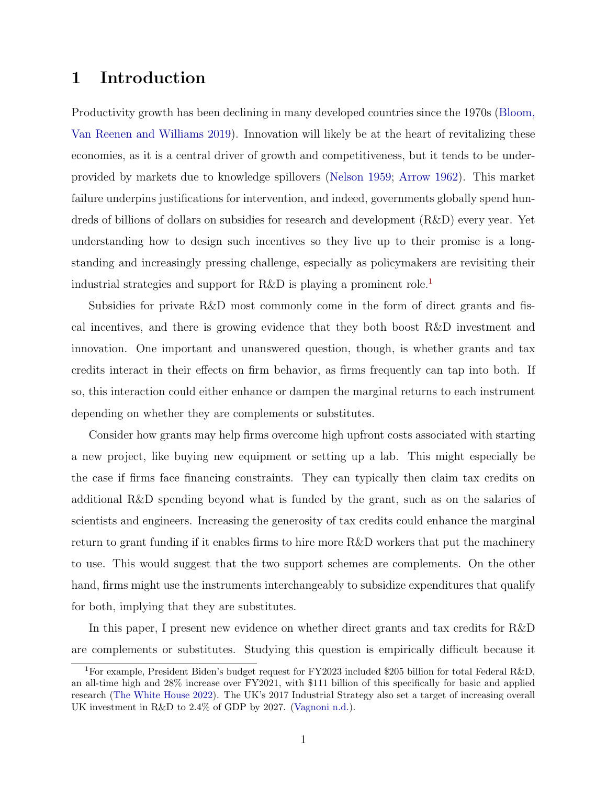# 1 Introduction

Productivity growth has been declining in many developed countries since the 1970s [\(Bloom,](#page-28-0) [Van Reenen and Williams](#page-28-0) [2019\)](#page-28-0). Innovation will likely be at the heart of revitalizing these economies, as it is a central driver of growth and competitiveness, but it tends to be underprovided by markets due to knowledge spillovers [\(Nelson](#page-29-0) [1959;](#page-29-0) [Arrow](#page-28-1) [1962\)](#page-28-1). This market failure underpins justifications for intervention, and indeed, governments globally spend hundreds of billions of dollars on subsidies for research and development (R&D) every year. Yet understanding how to design such incentives so they live up to their promise is a longstanding and increasingly pressing challenge, especially as policymakers are revisiting their industrial strategies and support for R&D is playing a prominent role.[1](#page-1-0)

Subsidies for private R&D most commonly come in the form of direct grants and fiscal incentives, and there is growing evidence that they both boost R&D investment and innovation. One important and unanswered question, though, is whether grants and tax credits interact in their effects on firm behavior, as firms frequently can tap into both. If so, this interaction could either enhance or dampen the marginal returns to each instrument depending on whether they are complements or substitutes.

Consider how grants may help firms overcome high upfront costs associated with starting a new project, like buying new equipment or setting up a lab. This might especially be the case if firms face financing constraints. They can typically then claim tax credits on additional R&D spending beyond what is funded by the grant, such as on the salaries of scientists and engineers. Increasing the generosity of tax credits could enhance the marginal return to grant funding if it enables firms to hire more R&D workers that put the machinery to use. This would suggest that the two support schemes are complements. On the other hand, firms might use the instruments interchangeably to subsidize expenditures that qualify for both, implying that they are substitutes.

In this paper, I present new evidence on whether direct grants and tax credits for R&D are complements or substitutes. Studying this question is empirically difficult because it

<span id="page-1-0"></span><sup>1</sup>For example, President Biden's budget request for FY2023 included \$205 billion for total Federal R&D, an all-time high and 28% increase over FY2021, with \$111 billion of this specifically for basic and applied research [\(The White House](#page-29-1) [2022\)](#page-29-1). The UK's 2017 Industrial Strategy also set a target of increasing overall UK investment in R&D to 2.4% of GDP by 2027. [\(Vagnoni](#page-29-2) [n.d.\)](#page-29-2).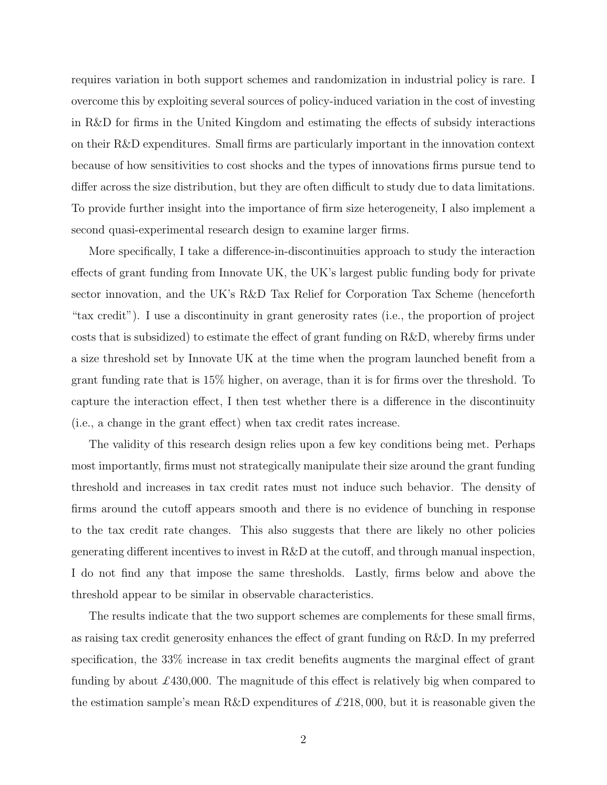requires variation in both support schemes and randomization in industrial policy is rare. I overcome this by exploiting several sources of policy-induced variation in the cost of investing in R&D for firms in the United Kingdom and estimating the effects of subsidy interactions on their R&D expenditures. Small firms are particularly important in the innovation context because of how sensitivities to cost shocks and the types of innovations firms pursue tend to differ across the size distribution, but they are often difficult to study due to data limitations. To provide further insight into the importance of firm size heterogeneity, I also implement a second quasi-experimental research design to examine larger firms.

More specifically, I take a difference-in-discontinuities approach to study the interaction effects of grant funding from Innovate UK, the UK's largest public funding body for private sector innovation, and the UK's R&D Tax Relief for Corporation Tax Scheme (henceforth "tax credit"). I use a discontinuity in grant generosity rates (i.e., the proportion of project costs that is subsidized) to estimate the effect of grant funding on R&D, whereby firms under a size threshold set by Innovate UK at the time when the program launched benefit from a grant funding rate that is 15% higher, on average, than it is for firms over the threshold. To capture the interaction effect, I then test whether there is a difference in the discontinuity (i.e., a change in the grant effect) when tax credit rates increase.

The validity of this research design relies upon a few key conditions being met. Perhaps most importantly, firms must not strategically manipulate their size around the grant funding threshold and increases in tax credit rates must not induce such behavior. The density of firms around the cutoff appears smooth and there is no evidence of bunching in response to the tax credit rate changes. This also suggests that there are likely no other policies generating different incentives to invest in R&D at the cutoff, and through manual inspection, I do not find any that impose the same thresholds. Lastly, firms below and above the threshold appear to be similar in observable characteristics.

The results indicate that the two support schemes are complements for these small firms, as raising tax credit generosity enhances the effect of grant funding on R&D. In my preferred specification, the 33% increase in tax credit benefits augments the marginal effect of grant funding by about  $\pounds$ 430,000. The magnitude of this effect is relatively big when compared to the estimation sample's mean R&D expenditures of  $\pounds 218,000$ , but it is reasonable given the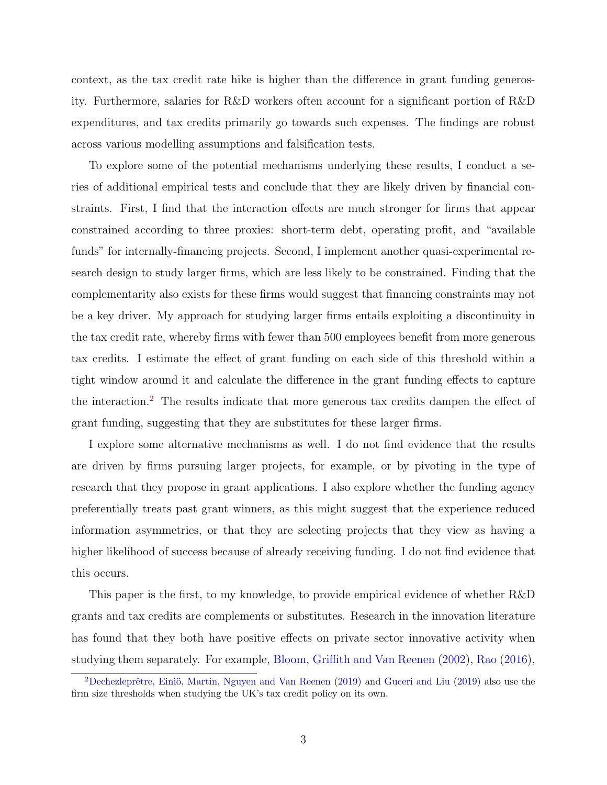context, as the tax credit rate hike is higher than the difference in grant funding generosity. Furthermore, salaries for R&D workers often account for a significant portion of R&D expenditures, and tax credits primarily go towards such expenses. The findings are robust across various modelling assumptions and falsification tests.

To explore some of the potential mechanisms underlying these results, I conduct a series of additional empirical tests and conclude that they are likely driven by financial constraints. First, I find that the interaction effects are much stronger for firms that appear constrained according to three proxies: short-term debt, operating profit, and "available funds" for internally-financing projects. Second, I implement another quasi-experimental research design to study larger firms, which are less likely to be constrained. Finding that the complementarity also exists for these firms would suggest that financing constraints may not be a key driver. My approach for studying larger firms entails exploiting a discontinuity in the tax credit rate, whereby firms with fewer than 500 employees benefit from more generous tax credits. I estimate the effect of grant funding on each side of this threshold within a tight window around it and calculate the difference in the grant funding effects to capture the interaction.[2](#page-3-0) The results indicate that more generous tax credits dampen the effect of grant funding, suggesting that they are substitutes for these larger firms.

I explore some alternative mechanisms as well. I do not find evidence that the results are driven by firms pursuing larger projects, for example, or by pivoting in the type of research that they propose in grant applications. I also explore whether the funding agency preferentially treats past grant winners, as this might suggest that the experience reduced information asymmetries, or that they are selecting projects that they view as having a higher likelihood of success because of already receiving funding. I do not find evidence that this occurs.

This paper is the first, to my knowledge, to provide empirical evidence of whether R&D grants and tax credits are complements or substitutes. Research in the innovation literature has found that they both have positive effects on private sector innovative activity when studying them separately. For example, [Bloom, Griffith and Van Reenen](#page-28-2) [\(2002\)](#page-28-2), [Rao](#page-29-3) [\(2016\)](#page-29-3),

<span id="page-3-0"></span> $2$ Dechezleprêtre, Einiö, Martin, Nguyen and Van Reenen [\(2019\)](#page-29-4) and [Guceri and Liu](#page-29-4) (2019) also use the firm size thresholds when studying the UK's tax credit policy on its own.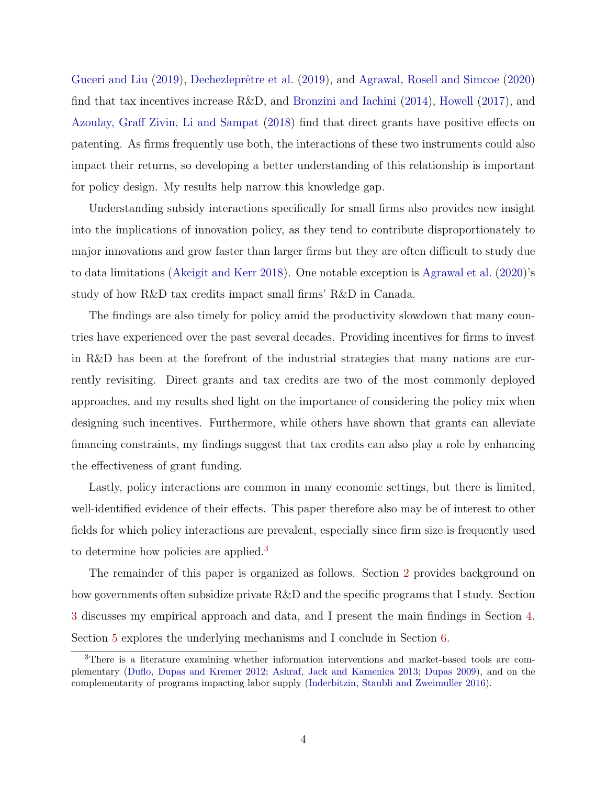[Guceri and Liu](#page-29-4) [\(2019\)](#page-28-3), Dechezleprêtre et al. (2019), and [Agrawal, Rosell and Simcoe](#page-28-4) [\(2020\)](#page-28-4) find that tax incentives increase R&D, and [Bronzini and Iachini](#page-28-5) [\(2014\)](#page-28-5), [Howell](#page-29-5) [\(2017\)](#page-29-5), and [Azoulay, Graff Zivin, Li and Sampat](#page-28-6) [\(2018\)](#page-28-6) find that direct grants have positive effects on patenting. As firms frequently use both, the interactions of these two instruments could also impact their returns, so developing a better understanding of this relationship is important for policy design. My results help narrow this knowledge gap.

Understanding subsidy interactions specifically for small firms also provides new insight into the implications of innovation policy, as they tend to contribute disproportionately to major innovations and grow faster than larger firms but they are often difficult to study due to data limitations [\(Akcigit and Kerr](#page-28-7) [2018\)](#page-28-7). One notable exception is [Agrawal et al.](#page-28-4) [\(2020\)](#page-28-4)'s study of how R&D tax credits impact small firms' R&D in Canada.

The findings are also timely for policy amid the productivity slowdown that many countries have experienced over the past several decades. Providing incentives for firms to invest in R&D has been at the forefront of the industrial strategies that many nations are currently revisiting. Direct grants and tax credits are two of the most commonly deployed approaches, and my results shed light on the importance of considering the policy mix when designing such incentives. Furthermore, while others have shown that grants can alleviate financing constraints, my findings suggest that tax credits can also play a role by enhancing the effectiveness of grant funding.

Lastly, policy interactions are common in many economic settings, but there is limited, well-identified evidence of their effects. This paper therefore also may be of interest to other fields for which policy interactions are prevalent, especially since firm size is frequently used to determine how policies are applied.[3](#page-4-0)

The remainder of this paper is organized as follows. Section [2](#page-5-0) provides background on how governments often subsidize private R&D and the specific programs that I study. Section [3](#page-10-0) discusses my empirical approach and data, and I present the main findings in Section [4.](#page-16-0) Section [5](#page-19-0) explores the underlying mechanisms and I conclude in Section [6.](#page-26-0)

<span id="page-4-0"></span><sup>3</sup>There is a literature examining whether information interventions and market-based tools are complementary [\(Duflo, Dupas and Kremer](#page-28-8) [2012;](#page-28-8) [Ashraf, Jack and Kamenica](#page-28-9) [2013;](#page-28-9) [Dupas](#page-28-10) [2009\)](#page-28-10), and on the complementarity of programs impacting labor supply [\(Inderbitzin, Staubli and Zweimuller](#page-29-6) [2016\)](#page-29-6).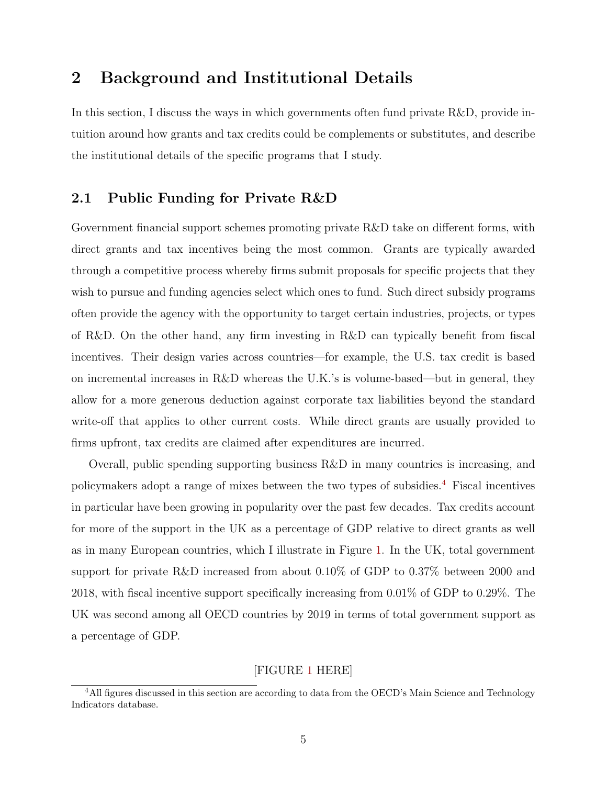# <span id="page-5-0"></span>2 Background and Institutional Details

In this section, I discuss the ways in which governments often fund private R&D, provide intuition around how grants and tax credits could be complements or substitutes, and describe the institutional details of the specific programs that I study.

### 2.1 Public Funding for Private R&D

Government financial support schemes promoting private R&D take on different forms, with direct grants and tax incentives being the most common. Grants are typically awarded through a competitive process whereby firms submit proposals for specific projects that they wish to pursue and funding agencies select which ones to fund. Such direct subsidy programs often provide the agency with the opportunity to target certain industries, projects, or types of R&D. On the other hand, any firm investing in R&D can typically benefit from fiscal incentives. Their design varies across countries—for example, the U.S. tax credit is based on incremental increases in R&D whereas the U.K.'s is volume-based—but in general, they allow for a more generous deduction against corporate tax liabilities beyond the standard write-off that applies to other current costs. While direct grants are usually provided to firms upfront, tax credits are claimed after expenditures are incurred.

Overall, public spending supporting business R&D in many countries is increasing, and policymakers adopt a range of mixes between the two types of subsidies.[4](#page-5-1) Fiscal incentives in particular have been growing in popularity over the past few decades. Tax credits account for more of the support in the UK as a percentage of GDP relative to direct grants as well as in many European countries, which I illustrate in Figure [1.](#page-38-0) In the UK, total government support for private R&D increased from about 0.10% of GDP to 0.37% between 2000 and 2018, with fiscal incentive support specifically increasing from 0.01% of GDP to 0.29%. The UK was second among all OECD countries by 2019 in terms of total government support as a percentage of GDP.

## [FIGURE [1](#page-38-0) HERE]

<span id="page-5-1"></span><sup>&</sup>lt;sup>4</sup>All figures discussed in this section are according to data from the OECD's Main Science and Technology Indicators database.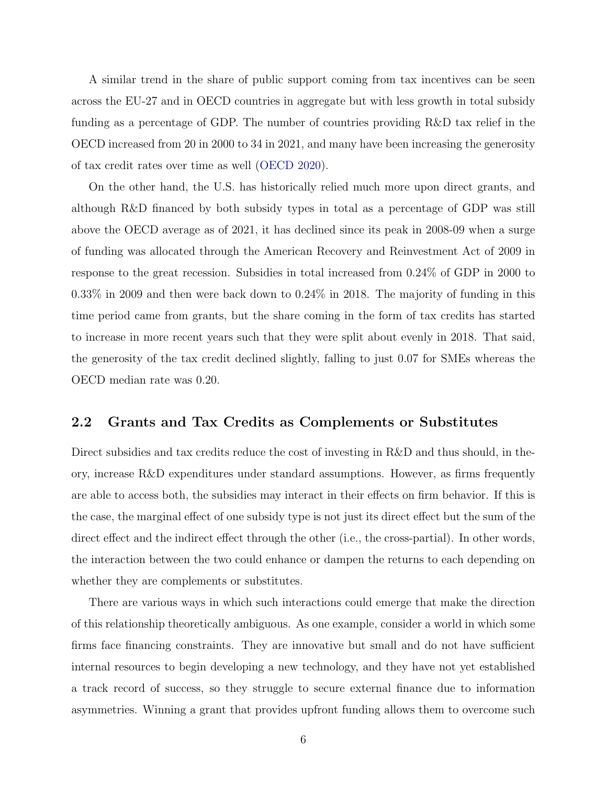A similar trend in the share of public support coming from tax incentives can be seen across the EU-27 and in OECD countries in aggregate but with less growth in total subsidy funding as a percentage of GDP. The number of countries providing R&D tax relief in the OECD increased from 20 in 2000 to 34 in 2021, and many have been increasing the generosity of tax credit rates over time as well [\(OECD](#page-29-7) [2020\)](#page-29-7).

On the other hand, the U.S. has historically relied much more upon direct grants, and although R&D financed by both subsidy types in total as a percentage of GDP was still above the OECD average as of 2021, it has declined since its peak in 2008-09 when a surge of funding was allocated through the American Recovery and Reinvestment Act of 2009 in response to the great recession. Subsidies in total increased from 0.24% of GDP in 2000 to 0.33% in 2009 and then were back down to 0.24% in 2018. The majority of funding in this time period came from grants, but the share coming in the form of tax credits has started to increase in more recent years such that they were split about evenly in 2018. That said, the generosity of the tax credit declined slightly, falling to just 0.07 for SMEs whereas the OECD median rate was 0.20.

### 2.2 Grants and Tax Credits as Complements or Substitutes

Direct subsidies and tax credits reduce the cost of investing in R&D and thus should, in theory, increase R&D expenditures under standard assumptions. However, as firms frequently are able to access both, the subsidies may interact in their effects on firm behavior. If this is the case, the marginal effect of one subsidy type is not just its direct effect but the sum of the direct effect and the indirect effect through the other (i.e., the cross-partial). In other words, the interaction between the two could enhance or dampen the returns to each depending on whether they are complements or substitutes.

There are various ways in which such interactions could emerge that make the direction of this relationship theoretically ambiguous. As one example, consider a world in which some firms face financing constraints. They are innovative but small and do not have sufficient internal resources to begin developing a new technology, and they have not yet established a track record of success, so they struggle to secure external finance due to information asymmetries. Winning a grant that provides upfront funding allows them to overcome such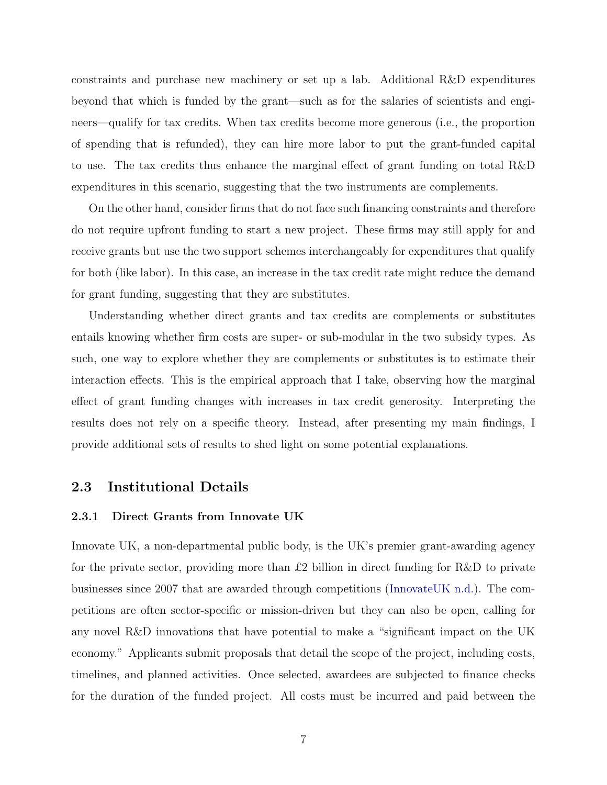constraints and purchase new machinery or set up a lab. Additional R&D expenditures beyond that which is funded by the grant—such as for the salaries of scientists and engineers—qualify for tax credits. When tax credits become more generous (i.e., the proportion of spending that is refunded), they can hire more labor to put the grant-funded capital to use. The tax credits thus enhance the marginal effect of grant funding on total R&D expenditures in this scenario, suggesting that the two instruments are complements.

On the other hand, consider firms that do not face such financing constraints and therefore do not require upfront funding to start a new project. These firms may still apply for and receive grants but use the two support schemes interchangeably for expenditures that qualify for both (like labor). In this case, an increase in the tax credit rate might reduce the demand for grant funding, suggesting that they are substitutes.

Understanding whether direct grants and tax credits are complements or substitutes entails knowing whether firm costs are super- or sub-modular in the two subsidy types. As such, one way to explore whether they are complements or substitutes is to estimate their interaction effects. This is the empirical approach that I take, observing how the marginal effect of grant funding changes with increases in tax credit generosity. Interpreting the results does not rely on a specific theory. Instead, after presenting my main findings, I provide additional sets of results to shed light on some potential explanations.

### 2.3 Institutional Details

#### 2.3.1 Direct Grants from Innovate UK

Innovate UK, a non-departmental public body, is the UK's premier grant-awarding agency for the private sector, providing more than £2 billion in direct funding for R&D to private businesses since 2007 that are awarded through competitions [\(InnovateUK](#page-29-8) [n.d.\)](#page-29-8). The competitions are often sector-specific or mission-driven but they can also be open, calling for any novel R&D innovations that have potential to make a "significant impact on the UK economy." Applicants submit proposals that detail the scope of the project, including costs, timelines, and planned activities. Once selected, awardees are subjected to finance checks for the duration of the funded project. All costs must be incurred and paid between the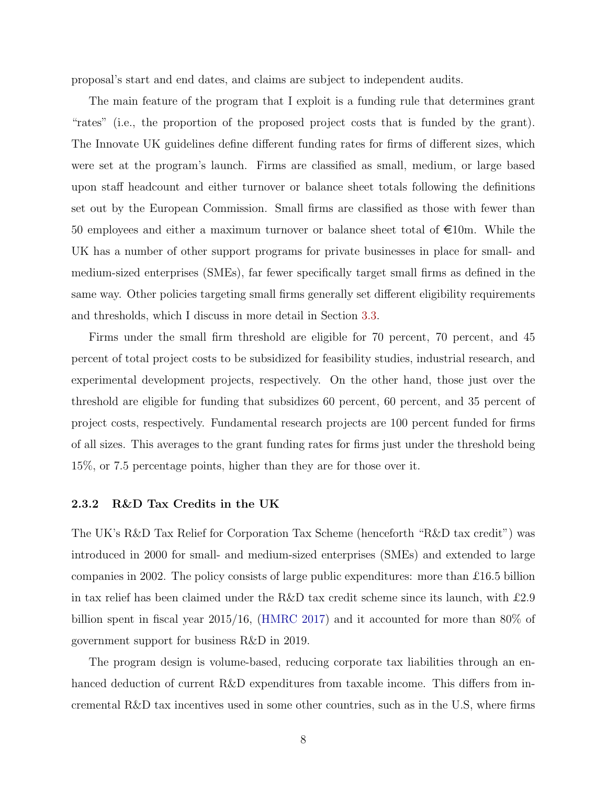proposal's start and end dates, and claims are subject to independent audits.

The main feature of the program that I exploit is a funding rule that determines grant "rates" (i.e., the proportion of the proposed project costs that is funded by the grant). The Innovate UK guidelines define different funding rates for firms of different sizes, which were set at the program's launch. Firms are classified as small, medium, or large based upon staff headcount and either turnover or balance sheet totals following the definitions set out by the European Commission. Small firms are classified as those with fewer than 50 employees and either a maximum turnover or balance sheet total of  $\epsilon$ 10m. While the UK has a number of other support programs for private businesses in place for small- and medium-sized enterprises (SMEs), far fewer specifically target small firms as defined in the same way. Other policies targeting small firms generally set different eligibility requirements and thresholds, which I discuss in more detail in Section [3.3.](#page-13-0)

Firms under the small firm threshold are eligible for 70 percent, 70 percent, and 45 percent of total project costs to be subsidized for feasibility studies, industrial research, and experimental development projects, respectively. On the other hand, those just over the threshold are eligible for funding that subsidizes 60 percent, 60 percent, and 35 percent of project costs, respectively. Fundamental research projects are 100 percent funded for firms of all sizes. This averages to the grant funding rates for firms just under the threshold being 15%, or 7.5 percentage points, higher than they are for those over it.

#### 2.3.2 R&D Tax Credits in the UK

The UK's R&D Tax Relief for Corporation Tax Scheme (henceforth "R&D tax credit") was introduced in 2000 for small- and medium-sized enterprises (SMEs) and extended to large companies in 2002. The policy consists of large public expenditures: more than £16.5 billion in tax relief has been claimed under the R&D tax credit scheme since its launch, with £2.9 billion spent in fiscal year 2015/16, [\(HMRC](#page-29-9) [2017\)](#page-29-9) and it accounted for more than 80% of government support for business R&D in 2019.

The program design is volume-based, reducing corporate tax liabilities through an enhanced deduction of current R&D expenditures from taxable income. This differs from incremental R&D tax incentives used in some other countries, such as in the U.S, where firms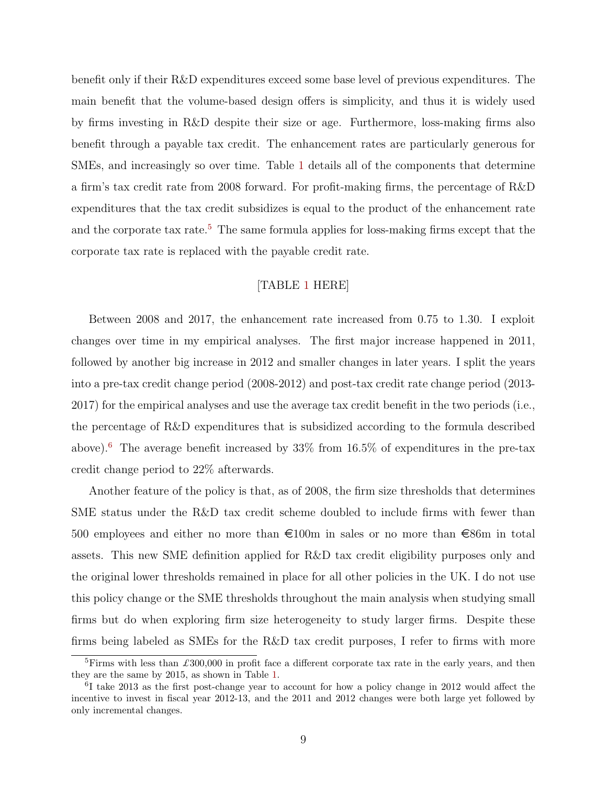benefit only if their R&D expenditures exceed some base level of previous expenditures. The main benefit that the volume-based design offers is simplicity, and thus it is widely used by firms investing in R&D despite their size or age. Furthermore, loss-making firms also benefit through a payable tax credit. The enhancement rates are particularly generous for SMEs, and increasingly so over time. Table [1](#page-31-0) details all of the components that determine a firm's tax credit rate from 2008 forward. For profit-making firms, the percentage of R&D expenditures that the tax credit subsidizes is equal to the product of the enhancement rate and the corporate tax rate.<sup>[5](#page-9-0)</sup> The same formula applies for loss-making firms except that the corporate tax rate is replaced with the payable credit rate.

### [TABLE [1](#page-31-0) HERE]

Between 2008 and 2017, the enhancement rate increased from 0.75 to 1.30. I exploit changes over time in my empirical analyses. The first major increase happened in 2011, followed by another big increase in 2012 and smaller changes in later years. I split the years into a pre-tax credit change period (2008-2012) and post-tax credit rate change period (2013- 2017) for the empirical analyses and use the average tax credit benefit in the two periods (i.e., the percentage of R&D expenditures that is subsidized according to the formula described above).<sup>[6](#page-9-1)</sup> The average benefit increased by  $33\%$  from  $16.5\%$  of expenditures in the pre-tax credit change period to 22% afterwards.

Another feature of the policy is that, as of 2008, the firm size thresholds that determines SME status under the R&D tax credit scheme doubled to include firms with fewer than 500 employees and either no more than  $\epsilon$ 100m in sales or no more than  $\epsilon$ 86m in total assets. This new SME definition applied for R&D tax credit eligibility purposes only and the original lower thresholds remained in place for all other policies in the UK. I do not use this policy change or the SME thresholds throughout the main analysis when studying small firms but do when exploring firm size heterogeneity to study larger firms. Despite these firms being labeled as SMEs for the R&D tax credit purposes, I refer to firms with more

<span id="page-9-0"></span> ${}^{5}$ Firms with less than £300,000 in profit face a different corporate tax rate in the early years, and then they are the same by 2015, as shown in Table [1.](#page-31-0)

<span id="page-9-1"></span><sup>6</sup> I take 2013 as the first post-change year to account for how a policy change in 2012 would affect the incentive to invest in fiscal year 2012-13, and the 2011 and 2012 changes were both large yet followed by only incremental changes.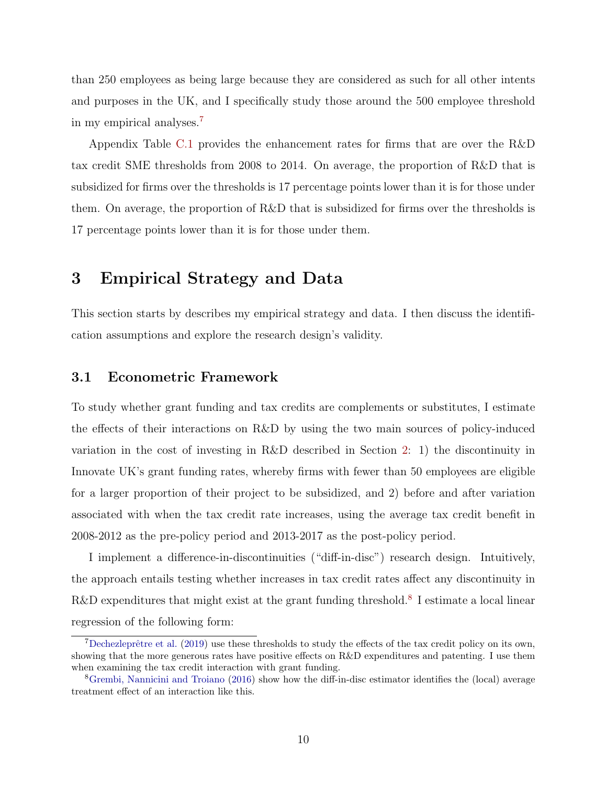than 250 employees as being large because they are considered as such for all other intents and purposes in the UK, and I specifically study those around the 500 employee threshold in my empirical analyses.[7](#page-10-1)

Appendix Table [C.1](#page-49-0) provides the enhancement rates for firms that are over the R&D tax credit SME thresholds from 2008 to 2014. On average, the proportion of R&D that is subsidized for firms over the thresholds is 17 percentage points lower than it is for those under them. On average, the proportion of R&D that is subsidized for firms over the thresholds is 17 percentage points lower than it is for those under them.

# <span id="page-10-0"></span>3 Empirical Strategy and Data

This section starts by describes my empirical strategy and data. I then discuss the identification assumptions and explore the research design's validity.

### 3.1 Econometric Framework

To study whether grant funding and tax credits are complements or substitutes, I estimate the effects of their interactions on R&D by using the two main sources of policy-induced variation in the cost of investing in R&D described in Section [2:](#page-5-0) 1) the discontinuity in Innovate UK's grant funding rates, whereby firms with fewer than 50 employees are eligible for a larger proportion of their project to be subsidized, and 2) before and after variation associated with when the tax credit rate increases, using the average tax credit benefit in 2008-2012 as the pre-policy period and 2013-2017 as the post-policy period.

I implement a difference-in-discontinuities ("diff-in-disc") research design. Intuitively, the approach entails testing whether increases in tax credit rates affect any discontinuity in R&D expenditures that might exist at the grant funding threshold.<sup>[8](#page-10-2)</sup> I estimate a local linear regression of the following form:

<span id="page-10-1"></span> $7$ Dechezleprêtre et al. [\(2019\)](#page-28-3) use these thresholds to study the effects of the tax credit policy on its own, showing that the more generous rates have positive effects on R&D expenditures and patenting. I use them when examining the tax credit interaction with grant funding.

<span id="page-10-2"></span><sup>8</sup>[Grembi, Nannicini and Troiano](#page-28-11) [\(2016\)](#page-28-11) show how the diff-in-disc estimator identifies the (local) average treatment effect of an interaction like this.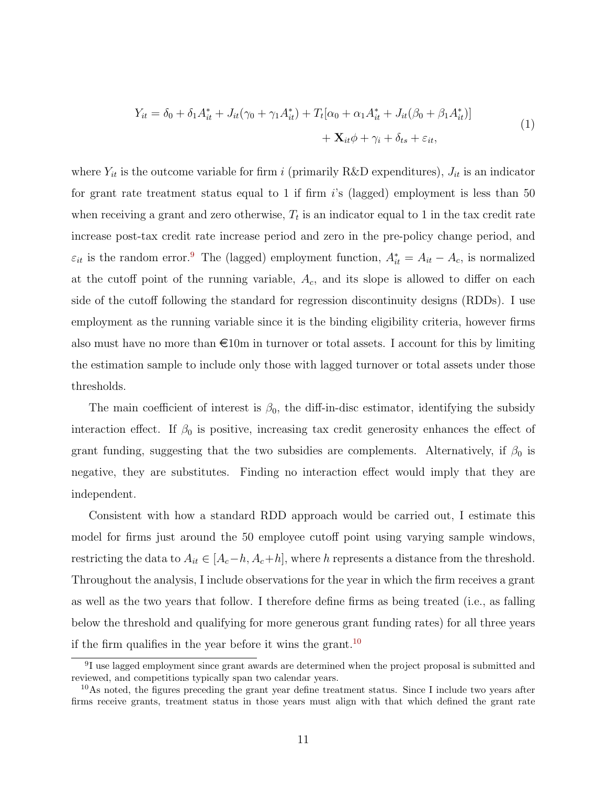$$
Y_{it} = \delta_0 + \delta_1 A_{it}^* + J_{it}(\gamma_0 + \gamma_1 A_{it}^*) + T_t[\alpha_0 + \alpha_1 A_{it}^* + J_{it}(\beta_0 + \beta_1 A_{it}^*)] + \mathbf{X}_{it}\phi + \gamma_i + \delta_{ts} + \varepsilon_{it},
$$
\n(1)

<span id="page-11-2"></span>where  $Y_{it}$  is the outcome variable for firm i (primarily R&D expenditures),  $J_{it}$  is an indicator for grant rate treatment status equal to 1 if firm  $i$ 's (lagged) employment is less than 50 when receiving a grant and zero otherwise,  $T_t$  is an indicator equal to 1 in the tax credit rate increase post-tax credit rate increase period and zero in the pre-policy change period, and  $\varepsilon_{it}$  is the random error.<sup>[9](#page-11-0)</sup> The (lagged) employment function,  $A_{it}^* = A_{it} - A_c$ , is normalized at the cutoff point of the running variable,  $A_c$ , and its slope is allowed to differ on each side of the cutoff following the standard for regression discontinuity designs (RDDs). I use employment as the running variable since it is the binding eligibility criteria, however firms also must have no more than  $\epsilon$ 10m in turnover or total assets. I account for this by limiting the estimation sample to include only those with lagged turnover or total assets under those thresholds.

The main coefficient of interest is  $\beta_0$ , the diff-in-disc estimator, identifying the subsidy interaction effect. If  $\beta_0$  is positive, increasing tax credit generosity enhances the effect of grant funding, suggesting that the two subsidies are complements. Alternatively, if  $\beta_0$  is negative, they are substitutes. Finding no interaction effect would imply that they are independent.

Consistent with how a standard RDD approach would be carried out, I estimate this model for firms just around the 50 employee cutoff point using varying sample windows, restricting the data to  $A_{it} \in [A_c-h, A_c+h]$ , where h represents a distance from the threshold. Throughout the analysis, I include observations for the year in which the firm receives a grant as well as the two years that follow. I therefore define firms as being treated (i.e., as falling below the threshold and qualifying for more generous grant funding rates) for all three years if the firm qualifies in the year before it wins the grant.<sup>[10](#page-11-1)</sup>

<span id="page-11-0"></span><sup>&</sup>lt;sup>9</sup>I use lagged employment since grant awards are determined when the project proposal is submitted and reviewed, and competitions typically span two calendar years.

<span id="page-11-1"></span><sup>&</sup>lt;sup>10</sup>As noted, the figures preceding the grant year define treatment status. Since I include two years after firms receive grants, treatment status in those years must align with that which defined the grant rate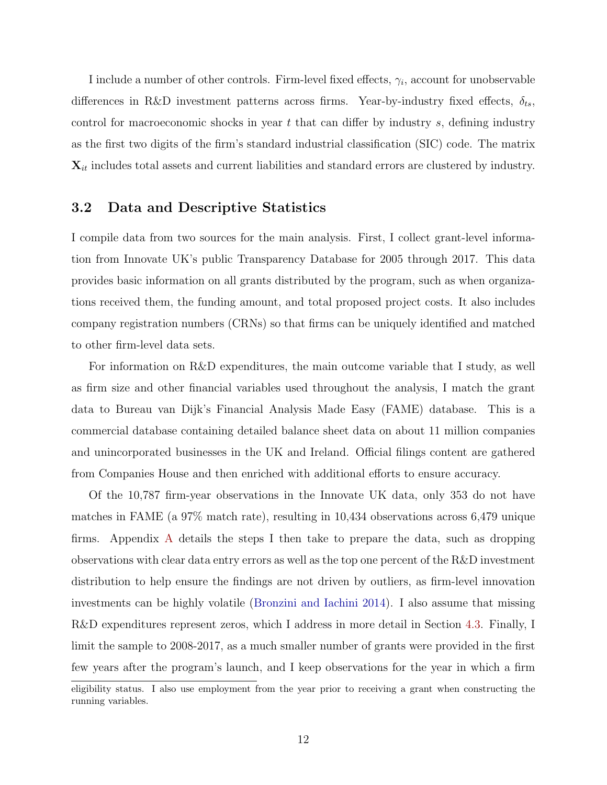I include a number of other controls. Firm-level fixed effects,  $\gamma_i$ , account for unobservable differences in R&D investment patterns across firms. Year-by-industry fixed effects,  $\delta_{ts}$ , control for macroeconomic shocks in year  $t$  that can differ by industry  $s$ , defining industry as the first two digits of the firm's standard industrial classification (SIC) code. The matrix  $\mathbf{X}_{it}$  includes total assets and current liabilities and standard errors are clustered by industry.

#### 3.2 Data and Descriptive Statistics

I compile data from two sources for the main analysis. First, I collect grant-level information from Innovate UK's public Transparency Database for 2005 through 2017. This data provides basic information on all grants distributed by the program, such as when organizations received them, the funding amount, and total proposed project costs. It also includes company registration numbers (CRNs) so that firms can be uniquely identified and matched to other firm-level data sets.

For information on R&D expenditures, the main outcome variable that I study, as well as firm size and other financial variables used throughout the analysis, I match the grant data to Bureau van Dijk's Financial Analysis Made Easy (FAME) database. This is a commercial database containing detailed balance sheet data on about 11 million companies and unincorporated businesses in the UK and Ireland. Official filings content are gathered from Companies House and then enriched with additional efforts to ensure accuracy.

Of the 10,787 firm-year observations in the Innovate UK data, only 353 do not have matches in FAME (a 97% match rate), resulting in 10,434 observations across 6,479 unique firms. Appendix [A](#page-41-0) details the steps I then take to prepare the data, such as dropping observations with clear data entry errors as well as the top one percent of the R&D investment distribution to help ensure the findings are not driven by outliers, as firm-level innovation investments can be highly volatile [\(Bronzini and Iachini](#page-28-5) [2014\)](#page-28-5). I also assume that missing R&D expenditures represent zeros, which I address in more detail in Section [4.3.](#page-17-0) Finally, I limit the sample to 2008-2017, as a much smaller number of grants were provided in the first few years after the program's launch, and I keep observations for the year in which a firm

eligibility status. I also use employment from the year prior to receiving a grant when constructing the running variables.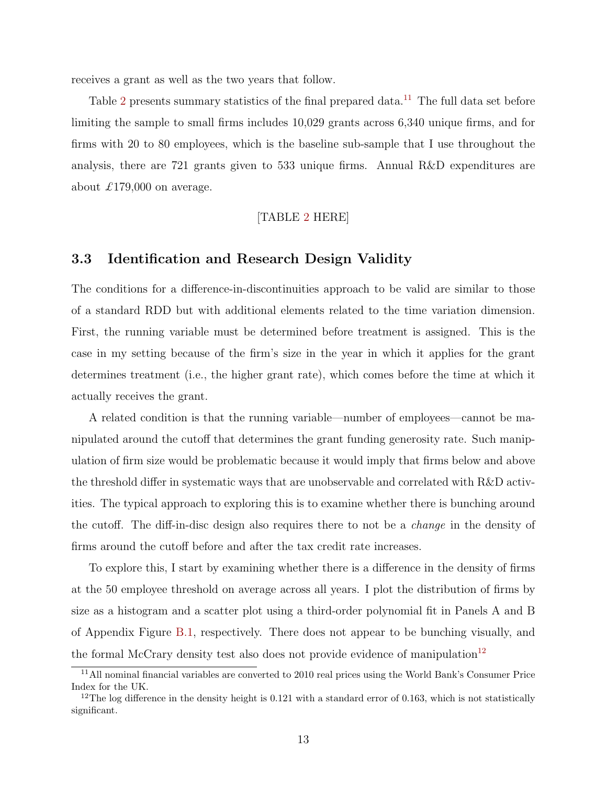receives a grant as well as the two years that follow.

Table [2](#page-32-0) presents summary statistics of the final prepared data.<sup>[11](#page-13-1)</sup> The full data set before limiting the sample to small firms includes 10,029 grants across 6,340 unique firms, and for firms with 20 to 80 employees, which is the baseline sub-sample that I use throughout the analysis, there are 721 grants given to 533 unique firms. Annual R&D expenditures are about £179,000 on average.

#### [TABLE [2](#page-32-0) HERE]

### <span id="page-13-0"></span>3.3 Identification and Research Design Validity

The conditions for a difference-in-discontinuities approach to be valid are similar to those of a standard RDD but with additional elements related to the time variation dimension. First, the running variable must be determined before treatment is assigned. This is the case in my setting because of the firm's size in the year in which it applies for the grant determines treatment (i.e., the higher grant rate), which comes before the time at which it actually receives the grant.

A related condition is that the running variable—number of employees—cannot be manipulated around the cutoff that determines the grant funding generosity rate. Such manipulation of firm size would be problematic because it would imply that firms below and above the threshold differ in systematic ways that are unobservable and correlated with R&D activities. The typical approach to exploring this is to examine whether there is bunching around the cutoff. The diff-in-disc design also requires there to not be a change in the density of firms around the cutoff before and after the tax credit rate increases.

To explore this, I start by examining whether there is a difference in the density of firms at the 50 employee threshold on average across all years. I plot the distribution of firms by size as a histogram and a scatter plot using a third-order polynomial fit in Panels A and B of Appendix Figure [B.1,](#page-47-0) respectively. There does not appear to be bunching visually, and the formal McCrary density test also does not provide evidence of manipulation<sup>[12](#page-13-2)</sup>

<span id="page-13-1"></span><sup>11</sup>All nominal financial variables are converted to 2010 real prices using the World Bank's Consumer Price Index for the UK.

<span id="page-13-2"></span> $12$ The log difference in the density height is 0.121 with a standard error of 0.163, which is not statistically significant.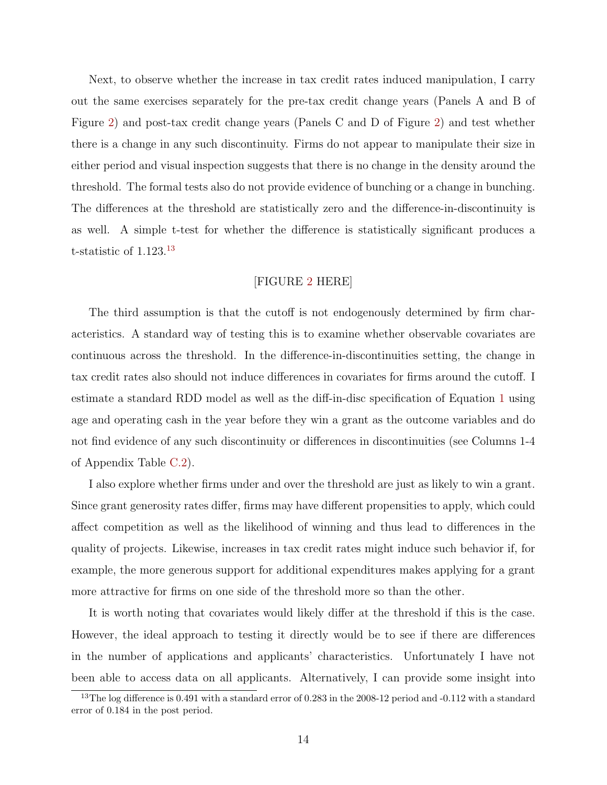Next, to observe whether the increase in tax credit rates induced manipulation, I carry out the same exercises separately for the pre-tax credit change years (Panels A and B of Figure [2\)](#page-39-0) and post-tax credit change years (Panels C and D of Figure [2\)](#page-39-0) and test whether there is a change in any such discontinuity. Firms do not appear to manipulate their size in either period and visual inspection suggests that there is no change in the density around the threshold. The formal tests also do not provide evidence of bunching or a change in bunching. The differences at the threshold are statistically zero and the difference-in-discontinuity is as well. A simple t-test for whether the difference is statistically significant produces a t-statistic of 1.123.[13](#page-14-0)

#### [FIGURE [2](#page-39-0) HERE]

The third assumption is that the cutoff is not endogenously determined by firm characteristics. A standard way of testing this is to examine whether observable covariates are continuous across the threshold. In the difference-in-discontinuities setting, the change in tax credit rates also should not induce differences in covariates for firms around the cutoff. I estimate a standard RDD model as well as the diff-in-disc specification of Equation [1](#page-11-2) using age and operating cash in the year before they win a grant as the outcome variables and do not find evidence of any such discontinuity or differences in discontinuities (see Columns 1-4 of Appendix Table [C.2\)](#page-50-0).

I also explore whether firms under and over the threshold are just as likely to win a grant. Since grant generosity rates differ, firms may have different propensities to apply, which could affect competition as well as the likelihood of winning and thus lead to differences in the quality of projects. Likewise, increases in tax credit rates might induce such behavior if, for example, the more generous support for additional expenditures makes applying for a grant more attractive for firms on one side of the threshold more so than the other.

It is worth noting that covariates would likely differ at the threshold if this is the case. However, the ideal approach to testing it directly would be to see if there are differences in the number of applications and applicants' characteristics. Unfortunately I have not been able to access data on all applicants. Alternatively, I can provide some insight into

<span id="page-14-0"></span><sup>&</sup>lt;sup>13</sup>The log difference is 0.491 with a standard error of 0.283 in the 2008-12 period and -0.112 with a standard error of 0.184 in the post period.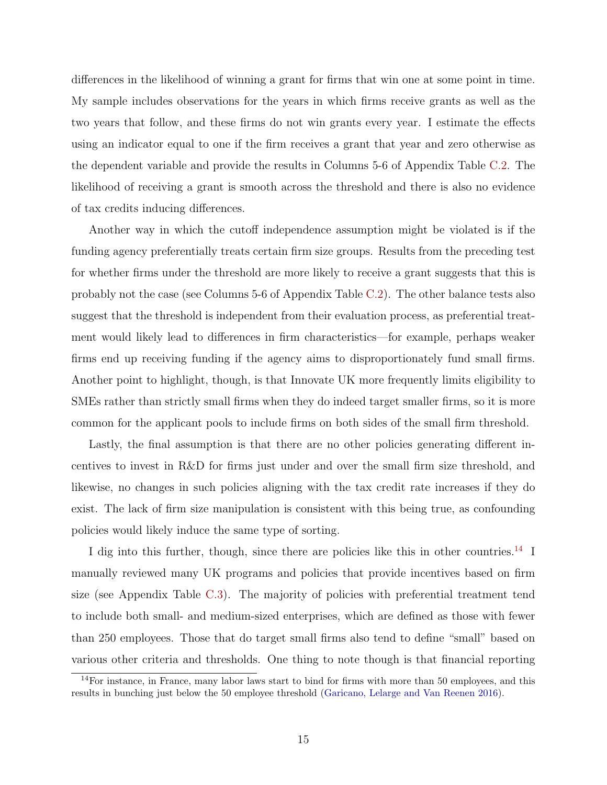differences in the likelihood of winning a grant for firms that win one at some point in time. My sample includes observations for the years in which firms receive grants as well as the two years that follow, and these firms do not win grants every year. I estimate the effects using an indicator equal to one if the firm receives a grant that year and zero otherwise as the dependent variable and provide the results in Columns 5-6 of Appendix Table [C.2.](#page-50-0) The likelihood of receiving a grant is smooth across the threshold and there is also no evidence of tax credits inducing differences.

Another way in which the cutoff independence assumption might be violated is if the funding agency preferentially treats certain firm size groups. Results from the preceding test for whether firms under the threshold are more likely to receive a grant suggests that this is probably not the case (see Columns 5-6 of Appendix Table [C.2\)](#page-50-0). The other balance tests also suggest that the threshold is independent from their evaluation process, as preferential treatment would likely lead to differences in firm characteristics—for example, perhaps weaker firms end up receiving funding if the agency aims to disproportionately fund small firms. Another point to highlight, though, is that Innovate UK more frequently limits eligibility to SMEs rather than strictly small firms when they do indeed target smaller firms, so it is more common for the applicant pools to include firms on both sides of the small firm threshold.

Lastly, the final assumption is that there are no other policies generating different incentives to invest in R&D for firms just under and over the small firm size threshold, and likewise, no changes in such policies aligning with the tax credit rate increases if they do exist. The lack of firm size manipulation is consistent with this being true, as confounding policies would likely induce the same type of sorting.

I dig into this further, though, since there are policies like this in other countries.<sup>[14](#page-15-0)</sup> I manually reviewed many UK programs and policies that provide incentives based on firm size (see Appendix Table [C.3\)](#page-51-0). The majority of policies with preferential treatment tend to include both small- and medium-sized enterprises, which are defined as those with fewer than 250 employees. Those that do target small firms also tend to define "small" based on various other criteria and thresholds. One thing to note though is that financial reporting

<span id="page-15-0"></span><sup>&</sup>lt;sup>14</sup>For instance, in France, many labor laws start to bind for firms with more than 50 employees, and this results in bunching just below the 50 employee threshold [\(Garicano, Lelarge and Van Reenen](#page-28-12) [2016\)](#page-28-12).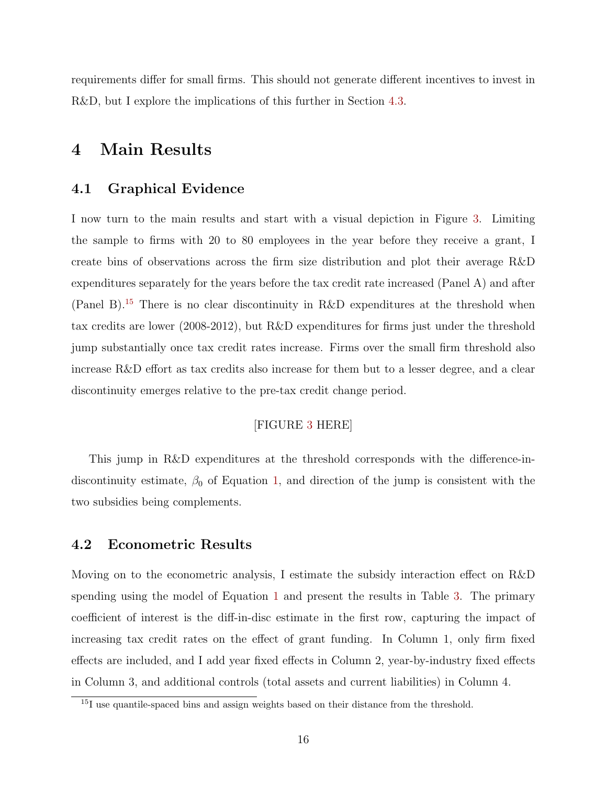requirements differ for small firms. This should not generate different incentives to invest in R&D, but I explore the implications of this further in Section [4.3.](#page-17-0)

## <span id="page-16-0"></span>4 Main Results

#### 4.1 Graphical Evidence

I now turn to the main results and start with a visual depiction in Figure [3.](#page-40-0) Limiting the sample to firms with 20 to 80 employees in the year before they receive a grant, I create bins of observations across the firm size distribution and plot their average R&D expenditures separately for the years before the tax credit rate increased (Panel A) and after (Panel B).[15](#page-16-1) There is no clear discontinuity in R&D expenditures at the threshold when tax credits are lower (2008-2012), but R&D expenditures for firms just under the threshold jump substantially once tax credit rates increase. Firms over the small firm threshold also increase R&D effort as tax credits also increase for them but to a lesser degree, and a clear discontinuity emerges relative to the pre-tax credit change period.

#### [FIGURE [3](#page-40-0) HERE]

This jump in R&D expenditures at the threshold corresponds with the difference-indiscontinuity estimate,  $\beta_0$  of Equation [1,](#page-11-2) and direction of the jump is consistent with the two subsidies being complements.

### 4.2 Econometric Results

Moving on to the econometric analysis, I estimate the subsidy interaction effect on R&D spending using the model of Equation [1](#page-11-2) and present the results in Table [3.](#page-33-0) The primary coefficient of interest is the diff-in-disc estimate in the first row, capturing the impact of increasing tax credit rates on the effect of grant funding. In Column 1, only firm fixed effects are included, and I add year fixed effects in Column 2, year-by-industry fixed effects in Column 3, and additional controls (total assets and current liabilities) in Column 4.

<span id="page-16-1"></span><sup>&</sup>lt;sup>15</sup>I use quantile-spaced bins and assign weights based on their distance from the threshold.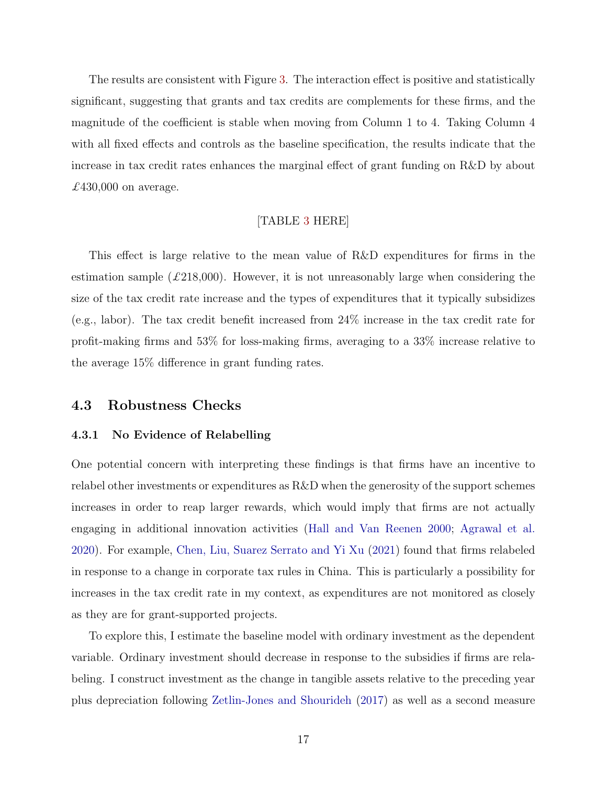The results are consistent with Figure [3.](#page-40-0) The interaction effect is positive and statistically significant, suggesting that grants and tax credits are complements for these firms, and the magnitude of the coefficient is stable when moving from Column 1 to 4. Taking Column 4 with all fixed effects and controls as the baseline specification, the results indicate that the increase in tax credit rates enhances the marginal effect of grant funding on R&D by about £430,000 on average.

### [TABLE [3](#page-33-0) HERE]

This effect is large relative to the mean value of R&D expenditures for firms in the estimation sample  $(\text{\textsterling}218,000)$ . However, it is not unreasonably large when considering the size of the tax credit rate increase and the types of expenditures that it typically subsidizes (e.g., labor). The tax credit benefit increased from 24% increase in the tax credit rate for profit-making firms and 53% for loss-making firms, averaging to a 33% increase relative to the average 15% difference in grant funding rates.

#### <span id="page-17-0"></span>4.3 Robustness Checks

#### <span id="page-17-1"></span>4.3.1 No Evidence of Relabelling

One potential concern with interpreting these findings is that firms have an incentive to relabel other investments or expenditures as R&D when the generosity of the support schemes increases in order to reap larger rewards, which would imply that firms are not actually engaging in additional innovation activities [\(Hall and Van Reenen](#page-29-10) [2000;](#page-29-10) [Agrawal et al.](#page-28-4) [2020\)](#page-28-4). For example, [Chen, Liu, Suarez Serrato and Yi Xu](#page-28-13) [\(2021\)](#page-28-13) found that firms relabeled in response to a change in corporate tax rules in China. This is particularly a possibility for increases in the tax credit rate in my context, as expenditures are not monitored as closely as they are for grant-supported projects.

To explore this, I estimate the baseline model with ordinary investment as the dependent variable. Ordinary investment should decrease in response to the subsidies if firms are relabeling. I construct investment as the change in tangible assets relative to the preceding year plus depreciation following [Zetlin-Jones and Shourideh](#page-29-11) [\(2017\)](#page-29-11) as well as a second measure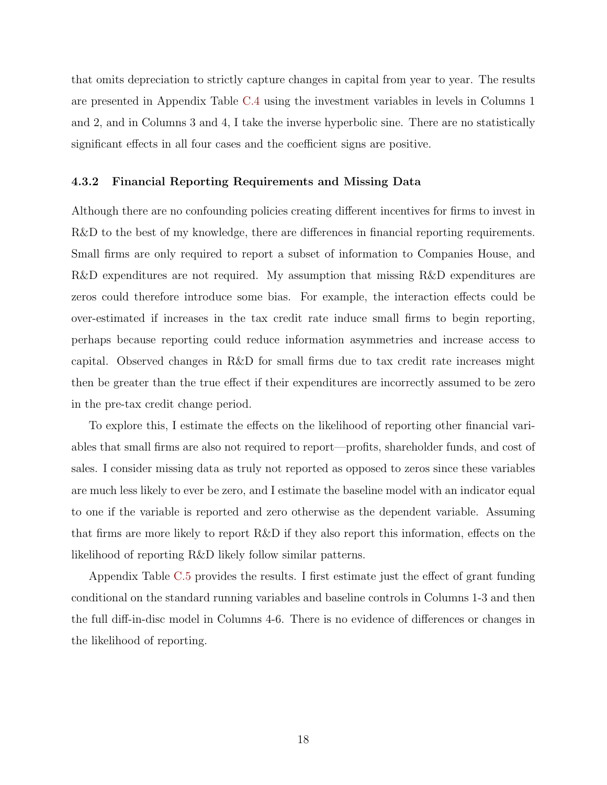that omits depreciation to strictly capture changes in capital from year to year. The results are presented in Appendix Table [C.4](#page-52-0) using the investment variables in levels in Columns 1 and 2, and in Columns 3 and 4, I take the inverse hyperbolic sine. There are no statistically significant effects in all four cases and the coefficient signs are positive.

#### 4.3.2 Financial Reporting Requirements and Missing Data

Although there are no confounding policies creating different incentives for firms to invest in R&D to the best of my knowledge, there are differences in financial reporting requirements. Small firms are only required to report a subset of information to Companies House, and R&D expenditures are not required. My assumption that missing R&D expenditures are zeros could therefore introduce some bias. For example, the interaction effects could be over-estimated if increases in the tax credit rate induce small firms to begin reporting, perhaps because reporting could reduce information asymmetries and increase access to capital. Observed changes in R&D for small firms due to tax credit rate increases might then be greater than the true effect if their expenditures are incorrectly assumed to be zero in the pre-tax credit change period.

To explore this, I estimate the effects on the likelihood of reporting other financial variables that small firms are also not required to report—profits, shareholder funds, and cost of sales. I consider missing data as truly not reported as opposed to zeros since these variables are much less likely to ever be zero, and I estimate the baseline model with an indicator equal to one if the variable is reported and zero otherwise as the dependent variable. Assuming that firms are more likely to report R&D if they also report this information, effects on the likelihood of reporting R&D likely follow similar patterns.

Appendix Table [C.5](#page-53-0) provides the results. I first estimate just the effect of grant funding conditional on the standard running variables and baseline controls in Columns 1-3 and then the full diff-in-disc model in Columns 4-6. There is no evidence of differences or changes in the likelihood of reporting.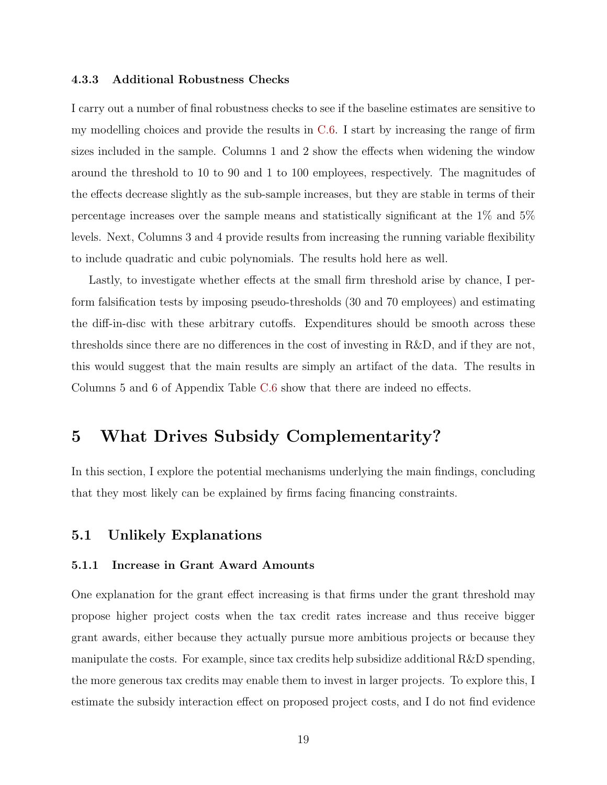#### 4.3.3 Additional Robustness Checks

I carry out a number of final robustness checks to see if the baseline estimates are sensitive to my modelling choices and provide the results in [C.6.](#page-54-0) I start by increasing the range of firm sizes included in the sample. Columns 1 and 2 show the effects when widening the window around the threshold to 10 to 90 and 1 to 100 employees, respectively. The magnitudes of the effects decrease slightly as the sub-sample increases, but they are stable in terms of their percentage increases over the sample means and statistically significant at the 1% and 5% levels. Next, Columns 3 and 4 provide results from increasing the running variable flexibility to include quadratic and cubic polynomials. The results hold here as well.

Lastly, to investigate whether effects at the small firm threshold arise by chance, I perform falsification tests by imposing pseudo-thresholds (30 and 70 employees) and estimating the diff-in-disc with these arbitrary cutoffs. Expenditures should be smooth across these thresholds since there are no differences in the cost of investing in R&D, and if they are not, this would suggest that the main results are simply an artifact of the data. The results in Columns 5 and 6 of Appendix Table [C.6](#page-54-0) show that there are indeed no effects.

# <span id="page-19-0"></span>5 What Drives Subsidy Complementarity?

In this section, I explore the potential mechanisms underlying the main findings, concluding that they most likely can be explained by firms facing financing constraints.

#### 5.1 Unlikely Explanations

#### 5.1.1 Increase in Grant Award Amounts

One explanation for the grant effect increasing is that firms under the grant threshold may propose higher project costs when the tax credit rates increase and thus receive bigger grant awards, either because they actually pursue more ambitious projects or because they manipulate the costs. For example, since tax credits help subsidize additional R&D spending, the more generous tax credits may enable them to invest in larger projects. To explore this, I estimate the subsidy interaction effect on proposed project costs, and I do not find evidence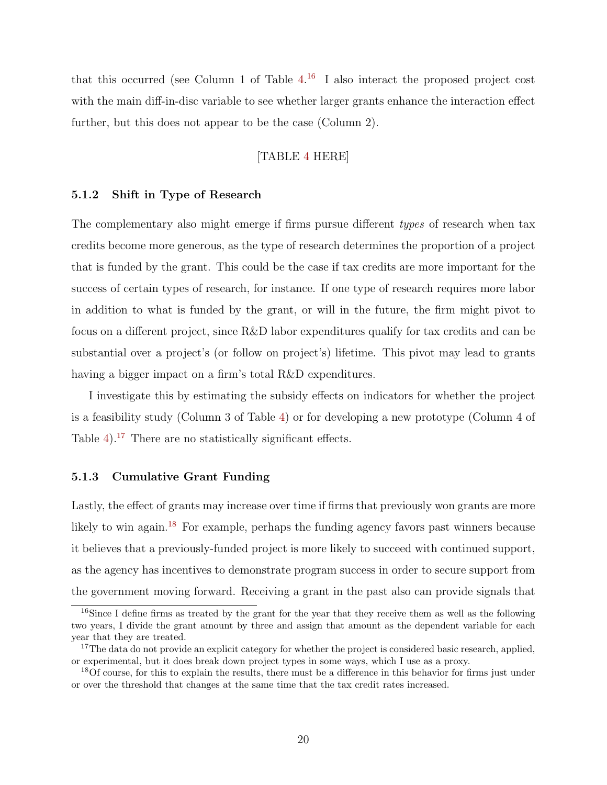that this occurred (see Column 1 of Table  $4^{16}$  $4^{16}$  $4^{16}$  I also interact the proposed project cost with the main diff-in-disc variable to see whether larger grants enhance the interaction effect further, but this does not appear to be the case (Column 2).

#### [TABLE [4](#page-34-0) HERE]

#### 5.1.2 Shift in Type of Research

The complementary also might emerge if firms pursue different types of research when tax credits become more generous, as the type of research determines the proportion of a project that is funded by the grant. This could be the case if tax credits are more important for the success of certain types of research, for instance. If one type of research requires more labor in addition to what is funded by the grant, or will in the future, the firm might pivot to focus on a different project, since R&D labor expenditures qualify for tax credits and can be substantial over a project's (or follow on project's) lifetime. This pivot may lead to grants having a bigger impact on a firm's total R&D expenditures.

I investigate this by estimating the subsidy effects on indicators for whether the project is a feasibility study (Column 3 of Table [4\)](#page-34-0) or for developing a new prototype (Column 4 of Table [4\)](#page-34-0).<sup>[17](#page-20-1)</sup> There are no statistically significant effects.

#### 5.1.3 Cumulative Grant Funding

Lastly, the effect of grants may increase over time if firms that previously won grants are more likely to win again.<sup>[18](#page-20-2)</sup> For example, perhaps the funding agency favors past winners because it believes that a previously-funded project is more likely to succeed with continued support, as the agency has incentives to demonstrate program success in order to secure support from the government moving forward. Receiving a grant in the past also can provide signals that

<span id="page-20-0"></span><sup>16</sup>Since I define firms as treated by the grant for the year that they receive them as well as the following two years, I divide the grant amount by three and assign that amount as the dependent variable for each year that they are treated.

<span id="page-20-1"></span><sup>&</sup>lt;sup>17</sup>The data do not provide an explicit category for whether the project is considered basic research, applied, or experimental, but it does break down project types in some ways, which I use as a proxy.

<span id="page-20-2"></span><sup>&</sup>lt;sup>18</sup>Of course, for this to explain the results, there must be a difference in this behavior for firms just under or over the threshold that changes at the same time that the tax credit rates increased.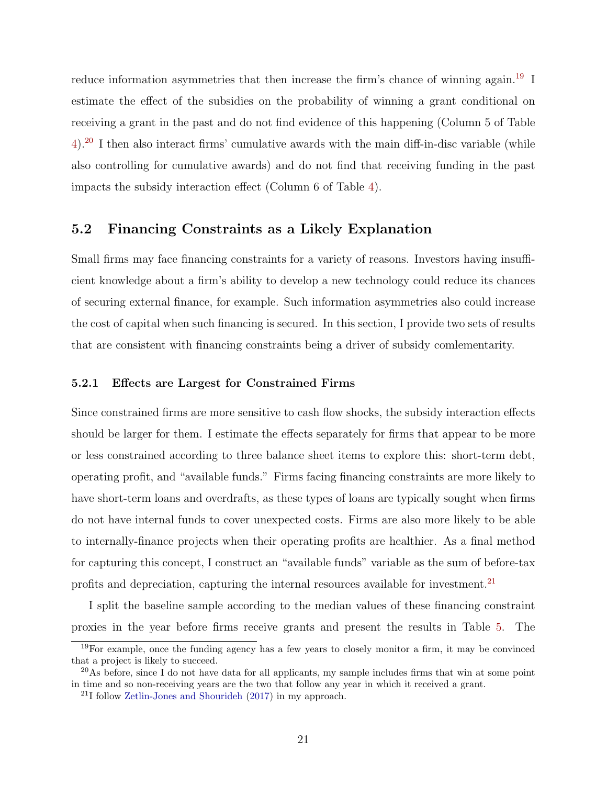reduce information asymmetries that then increase the firm's chance of winning again.<sup>[19](#page-21-0)</sup> I estimate the effect of the subsidies on the probability of winning a grant conditional on receiving a grant in the past and do not find evidence of this happening (Column 5 of Table [4\)](#page-34-0).[20](#page-21-1) I then also interact firms' cumulative awards with the main diff-in-disc variable (while also controlling for cumulative awards) and do not find that receiving funding in the past impacts the subsidy interaction effect (Column 6 of Table [4\)](#page-34-0).

## 5.2 Financing Constraints as a Likely Explanation

Small firms may face financing constraints for a variety of reasons. Investors having insufficient knowledge about a firm's ability to develop a new technology could reduce its chances of securing external finance, for example. Such information asymmetries also could increase the cost of capital when such financing is secured. In this section, I provide two sets of results that are consistent with financing constraints being a driver of subsidy comlementarity.

#### 5.2.1 Effects are Largest for Constrained Firms

Since constrained firms are more sensitive to cash flow shocks, the subsidy interaction effects should be larger for them. I estimate the effects separately for firms that appear to be more or less constrained according to three balance sheet items to explore this: short-term debt, operating profit, and "available funds." Firms facing financing constraints are more likely to have short-term loans and overdrafts, as these types of loans are typically sought when firms do not have internal funds to cover unexpected costs. Firms are also more likely to be able to internally-finance projects when their operating profits are healthier. As a final method for capturing this concept, I construct an "available funds" variable as the sum of before-tax profits and depreciation, capturing the internal resources available for investment.[21](#page-21-2)

I split the baseline sample according to the median values of these financing constraint proxies in the year before firms receive grants and present the results in Table [5.](#page-35-0) The

<span id="page-21-0"></span> $19$ For example, once the funding agency has a few years to closely monitor a firm, it may be convinced that a project is likely to succeed.

<span id="page-21-1"></span> $^{20}\text{As}$  before, since I do not have data for all applicants, my sample includes firms that win at some point in time and so non-receiving years are the two that follow any year in which it received a grant.

<span id="page-21-2"></span><sup>21</sup>I follow [Zetlin-Jones and Shourideh](#page-29-11) [\(2017\)](#page-29-11) in my approach.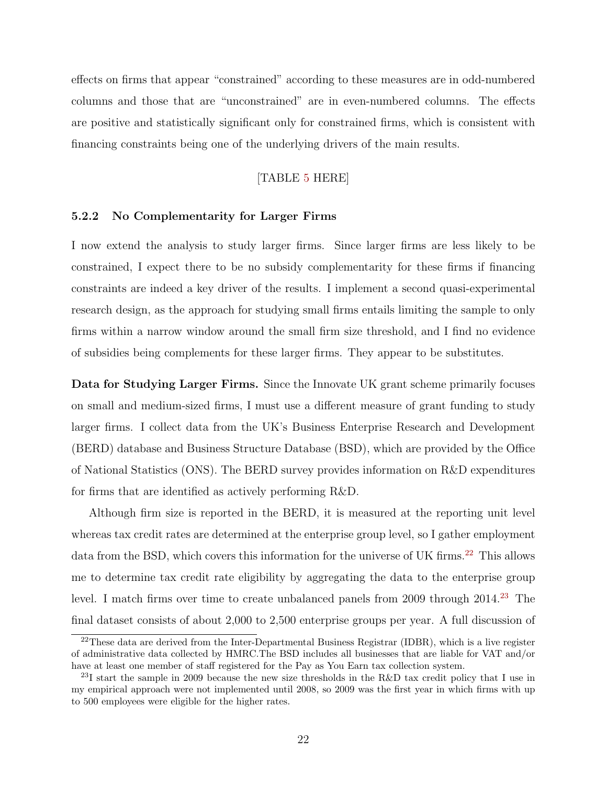effects on firms that appear "constrained" according to these measures are in odd-numbered columns and those that are "unconstrained" are in even-numbered columns. The effects are positive and statistically significant only for constrained firms, which is consistent with financing constraints being one of the underlying drivers of the main results.

#### [TABLE [5](#page-35-0) HERE]

#### 5.2.2 No Complementarity for Larger Firms

I now extend the analysis to study larger firms. Since larger firms are less likely to be constrained, I expect there to be no subsidy complementarity for these firms if financing constraints are indeed a key driver of the results. I implement a second quasi-experimental research design, as the approach for studying small firms entails limiting the sample to only firms within a narrow window around the small firm size threshold, and I find no evidence of subsidies being complements for these larger firms. They appear to be substitutes.

Data for Studying Larger Firms. Since the Innovate UK grant scheme primarily focuses on small and medium-sized firms, I must use a different measure of grant funding to study larger firms. I collect data from the UK's Business Enterprise Research and Development (BERD) database and Business Structure Database (BSD), which are provided by the Office of National Statistics (ONS). The BERD survey provides information on R&D expenditures for firms that are identified as actively performing R&D.

Although firm size is reported in the BERD, it is measured at the reporting unit level whereas tax credit rates are determined at the enterprise group level, so I gather employment data from the BSD, which covers this information for the universe of UK firms.<sup>[22](#page-22-0)</sup> This allows me to determine tax credit rate eligibility by aggregating the data to the enterprise group level. I match firms over time to create unbalanced panels from 2009 through 2014.<sup>[23](#page-22-1)</sup> The final dataset consists of about 2,000 to 2,500 enterprise groups per year. A full discussion of

<span id="page-22-0"></span> $22$ These data are derived from the Inter-Departmental Business Registrar (IDBR), which is a live register of administrative data collected by HMRC.The BSD includes all businesses that are liable for VAT and/or have at least one member of staff registered for the Pay as You Earn tax collection system.

<span id="page-22-1"></span><sup>&</sup>lt;sup>23</sup>I start the sample in 2009 because the new size thresholds in the R&D tax credit policy that I use in my empirical approach were not implemented until 2008, so 2009 was the first year in which firms with up to 500 employees were eligible for the higher rates.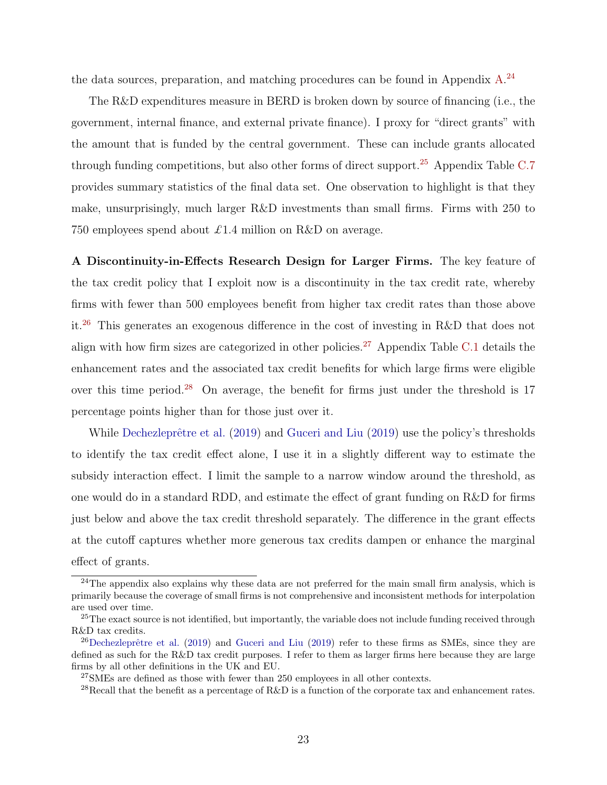the data sources, preparation, and matching procedures can be found in Appendix [A.](#page-41-0)<sup>[24](#page-23-0)</sup>

The R&D expenditures measure in BERD is broken down by source of financing (i.e., the government, internal finance, and external private finance). I proxy for "direct grants" with the amount that is funded by the central government. These can include grants allocated through funding competitions, but also other forms of direct support.<sup>[25](#page-23-1)</sup> Appendix Table [C.7](#page-55-0) provides summary statistics of the final data set. One observation to highlight is that they make, unsurprisingly, much larger R&D investments than small firms. Firms with 250 to 750 employees spend about £1.4 million on R&D on average.

A Discontinuity-in-Effects Research Design for Larger Firms. The key feature of the tax credit policy that I exploit now is a discontinuity in the tax credit rate, whereby firms with fewer than 500 employees benefit from higher tax credit rates than those above it.[26](#page-23-2) This generates an exogenous difference in the cost of investing in R&D that does not align with how firm sizes are categorized in other policies.<sup>[27](#page-23-3)</sup> Appendix Table [C.1](#page-49-0) details the enhancement rates and the associated tax credit benefits for which large firms were eligible over this time period.<sup>[28](#page-23-4)</sup> On average, the benefit for firms just under the threshold is  $17$ percentage points higher than for those just over it.

While Dechezleprêtre et al. [\(2019\)](#page-29-4) and [Guceri and Liu](#page-29-4) (2019) use the policy's thresholds to identify the tax credit effect alone, I use it in a slightly different way to estimate the subsidy interaction effect. I limit the sample to a narrow window around the threshold, as one would do in a standard RDD, and estimate the effect of grant funding on R&D for firms just below and above the tax credit threshold separately. The difference in the grant effects at the cutoff captures whether more generous tax credits dampen or enhance the marginal effect of grants.

<span id="page-23-0"></span> $^{24}$ The appendix also explains why these data are not preferred for the main small firm analysis, which is primarily because the coverage of small firms is not comprehensive and inconsistent methods for interpolation are used over time.

<span id="page-23-1"></span><sup>&</sup>lt;sup>25</sup>The exact source is not identified, but importantly, the variable does not include funding received through R&D tax credits.

<span id="page-23-2"></span> $^{26}$ Dechezleprêtre et al. [\(2019\)](#page-29-4) and [Guceri and Liu](#page-29-4) (2019) refer to these firms as SMEs, since they are defined as such for the R&D tax credit purposes. I refer to them as larger firms here because they are large firms by all other definitions in the UK and EU.

<span id="page-23-3"></span><sup>27</sup>SMEs are defined as those with fewer than 250 employees in all other contexts.

<span id="page-23-4"></span><sup>&</sup>lt;sup>28</sup>Recall that the benefit as a percentage of R&D is a function of the corporate tax and enhancement rates.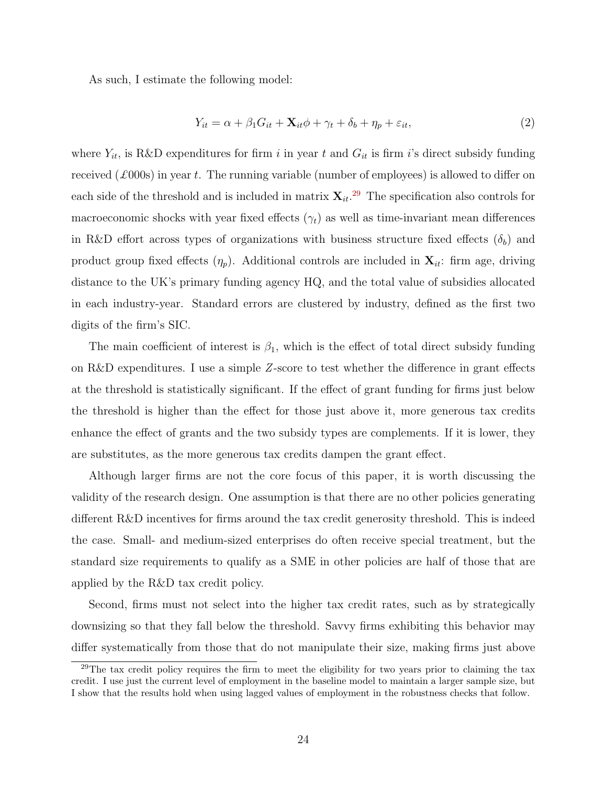As such, I estimate the following model:

$$
Y_{it} = \alpha + \beta_1 G_{it} + \mathbf{X}_{it} \phi + \gamma_t + \delta_b + \eta_p + \varepsilon_{it},\tag{2}
$$

where  $Y_{it}$ , is R&D expenditures for firm i in year t and  $G_{it}$  is firm i's direct subsidy funding received  $(\text{\pounds}000s)$  in year t. The running variable (number of employees) is allowed to differ on each side of the threshold and is included in matrix  $\mathbf{X}_{it}$ <sup>[29](#page-24-0)</sup>. The specification also controls for macroeconomic shocks with year fixed effects  $(\gamma_t)$  as well as time-invariant mean differences in R&D effort across types of organizations with business structure fixed effects  $(\delta_b)$  and product group fixed effects  $(\eta_p)$ . Additional controls are included in  $\mathbf{X}_{it}$ : firm age, driving distance to the UK's primary funding agency HQ, and the total value of subsidies allocated in each industry-year. Standard errors are clustered by industry, defined as the first two digits of the firm's SIC.

The main coefficient of interest is  $\beta_1$ , which is the effect of total direct subsidy funding on R&D expenditures. I use a simple  $Z$ -score to test whether the difference in grant effects at the threshold is statistically significant. If the effect of grant funding for firms just below the threshold is higher than the effect for those just above it, more generous tax credits enhance the effect of grants and the two subsidy types are complements. If it is lower, they are substitutes, as the more generous tax credits dampen the grant effect.

Although larger firms are not the core focus of this paper, it is worth discussing the validity of the research design. One assumption is that there are no other policies generating different R&D incentives for firms around the tax credit generosity threshold. This is indeed the case. Small- and medium-sized enterprises do often receive special treatment, but the standard size requirements to qualify as a SME in other policies are half of those that are applied by the R&D tax credit policy.

Second, firms must not select into the higher tax credit rates, such as by strategically downsizing so that they fall below the threshold. Savvy firms exhibiting this behavior may differ systematically from those that do not manipulate their size, making firms just above

<span id="page-24-0"></span><sup>&</sup>lt;sup>29</sup>The tax credit policy requires the firm to meet the eligibility for two years prior to claiming the tax credit. I use just the current level of employment in the baseline model to maintain a larger sample size, but I show that the results hold when using lagged values of employment in the robustness checks that follow.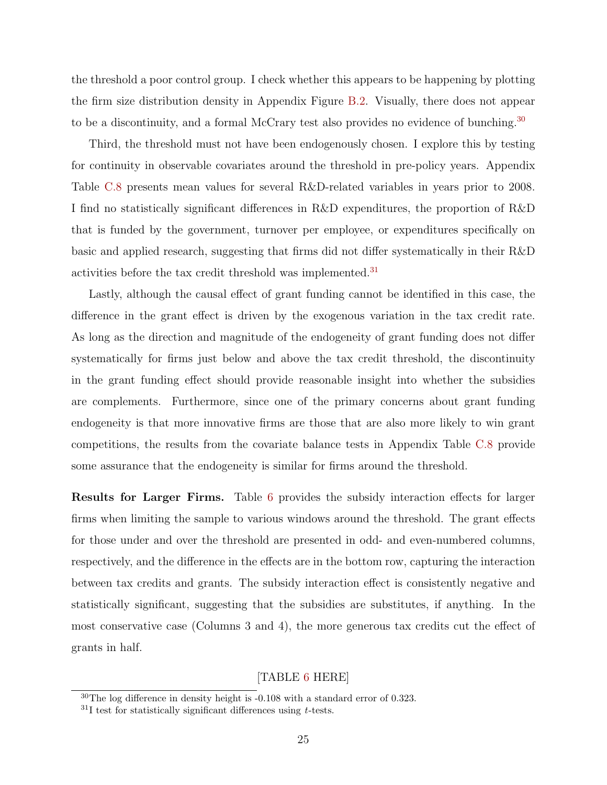the threshold a poor control group. I check whether this appears to be happening by plotting the firm size distribution density in Appendix Figure [B.2.](#page-48-0) Visually, there does not appear to be a discontinuity, and a formal McCrary test also provides no evidence of bunching.<sup>[30](#page-25-0)</sup>

Third, the threshold must not have been endogenously chosen. I explore this by testing for continuity in observable covariates around the threshold in pre-policy years. Appendix Table [C.8](#page-55-1) presents mean values for several R&D-related variables in years prior to 2008. I find no statistically significant differences in R&D expenditures, the proportion of R&D that is funded by the government, turnover per employee, or expenditures specifically on basic and applied research, suggesting that firms did not differ systematically in their R&D activities before the tax credit threshold was implemented.<sup>[31](#page-25-1)</sup>

Lastly, although the causal effect of grant funding cannot be identified in this case, the difference in the grant effect is driven by the exogenous variation in the tax credit rate. As long as the direction and magnitude of the endogeneity of grant funding does not differ systematically for firms just below and above the tax credit threshold, the discontinuity in the grant funding effect should provide reasonable insight into whether the subsidies are complements. Furthermore, since one of the primary concerns about grant funding endogeneity is that more innovative firms are those that are also more likely to win grant competitions, the results from the covariate balance tests in Appendix Table [C.8](#page-55-1) provide some assurance that the endogeneity is similar for firms around the threshold.

Results for Larger Firms. Table [6](#page-36-0) provides the subsidy interaction effects for larger firms when limiting the sample to various windows around the threshold. The grant effects for those under and over the threshold are presented in odd- and even-numbered columns, respectively, and the difference in the effects are in the bottom row, capturing the interaction between tax credits and grants. The subsidy interaction effect is consistently negative and statistically significant, suggesting that the subsidies are substitutes, if anything. In the most conservative case (Columns 3 and 4), the more generous tax credits cut the effect of grants in half.

## [TABLE [6](#page-36-0) HERE]

<span id="page-25-0"></span> $30$ The log difference in density height is  $-0.108$  with a standard error of 0.323.

<span id="page-25-1"></span> $31$ I test for statistically significant differences using t-tests.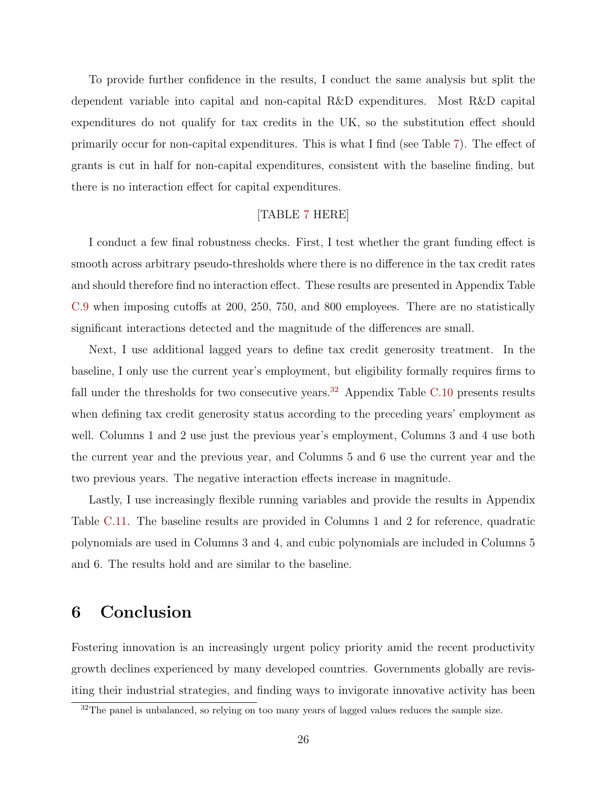To provide further confidence in the results, I conduct the same analysis but split the dependent variable into capital and non-capital R&D expenditures. Most R&D capital expenditures do not qualify for tax credits in the UK, so the substitution effect should primarily occur for non-capital expenditures. This is what I find (see Table [7\)](#page-37-0). The effect of grants is cut in half for non-capital expenditures, consistent with the baseline finding, but there is no interaction effect for capital expenditures.

## [TABLE [7](#page-37-0) HERE]

I conduct a few final robustness checks. First, I test whether the grant funding effect is smooth across arbitrary pseudo-thresholds where there is no difference in the tax credit rates and should therefore find no interaction effect. These results are presented in Appendix Table [C.9](#page-56-0) when imposing cutoffs at 200, 250, 750, and 800 employees. There are no statistically significant interactions detected and the magnitude of the differences are small.

Next, I use additional lagged years to define tax credit generosity treatment. In the baseline, I only use the current year's employment, but eligibility formally requires firms to fall under the thresholds for two consecutive years.<sup>[32](#page-26-1)</sup> Appendix Table [C.10](#page-57-0) presents results when defining tax credit generosity status according to the preceding years' employment as well. Columns 1 and 2 use just the previous year's employment, Columns 3 and 4 use both the current year and the previous year, and Columns 5 and 6 use the current year and the two previous years. The negative interaction effects increase in magnitude.

Lastly, I use increasingly flexible running variables and provide the results in Appendix Table [C.11.](#page-58-0) The baseline results are provided in Columns 1 and 2 for reference, quadratic polynomials are used in Columns 3 and 4, and cubic polynomials are included in Columns 5 and 6. The results hold and are similar to the baseline.

# <span id="page-26-0"></span>6 Conclusion

Fostering innovation is an increasingly urgent policy priority amid the recent productivity growth declines experienced by many developed countries. Governments globally are revisiting their industrial strategies, and finding ways to invigorate innovative activity has been

<span id="page-26-1"></span><sup>&</sup>lt;sup>32</sup>The panel is unbalanced, so relying on too many years of lagged values reduces the sample size.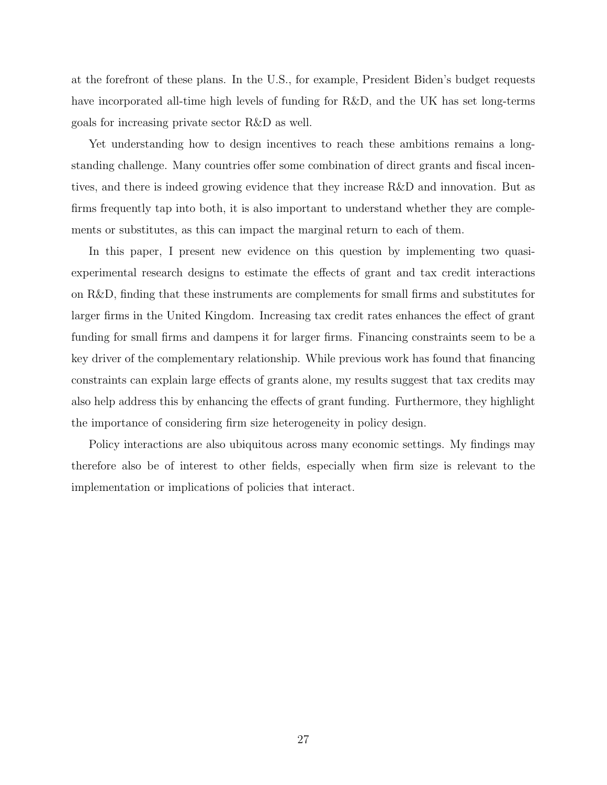at the forefront of these plans. In the U.S., for example, President Biden's budget requests have incorporated all-time high levels of funding for R&D, and the UK has set long-terms goals for increasing private sector R&D as well.

Yet understanding how to design incentives to reach these ambitions remains a longstanding challenge. Many countries offer some combination of direct grants and fiscal incentives, and there is indeed growing evidence that they increase R&D and innovation. But as firms frequently tap into both, it is also important to understand whether they are complements or substitutes, as this can impact the marginal return to each of them.

In this paper, I present new evidence on this question by implementing two quasiexperimental research designs to estimate the effects of grant and tax credit interactions on R&D, finding that these instruments are complements for small firms and substitutes for larger firms in the United Kingdom. Increasing tax credit rates enhances the effect of grant funding for small firms and dampens it for larger firms. Financing constraints seem to be a key driver of the complementary relationship. While previous work has found that financing constraints can explain large effects of grants alone, my results suggest that tax credits may also help address this by enhancing the effects of grant funding. Furthermore, they highlight the importance of considering firm size heterogeneity in policy design.

Policy interactions are also ubiquitous across many economic settings. My findings may therefore also be of interest to other fields, especially when firm size is relevant to the implementation or implications of policies that interact.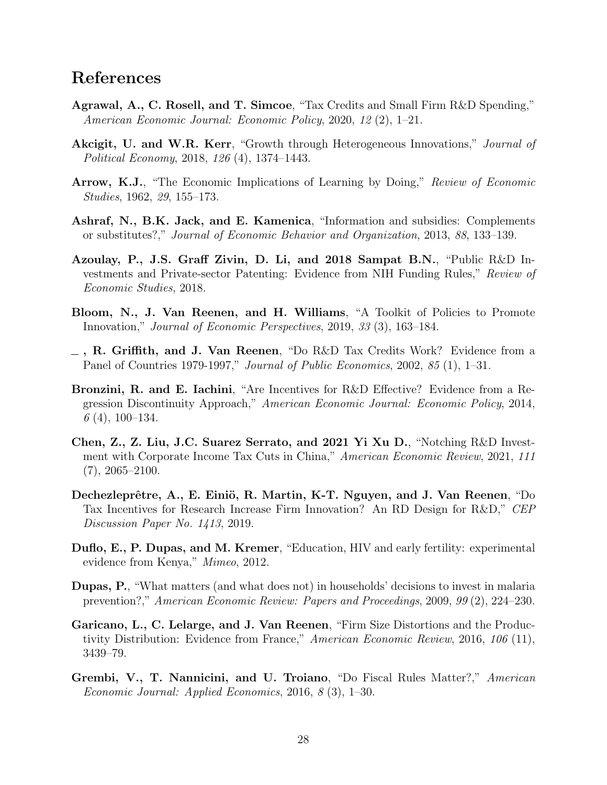# References

- <span id="page-28-4"></span>Agrawal, A., C. Rosell, and T. Simcoe, "Tax Credits and Small Firm R&D Spending," American Economic Journal: Economic Policy, 2020, 12 (2), 1–21.
- <span id="page-28-7"></span>Akcigit, U. and W.R. Kerr, "Growth through Heterogeneous Innovations," *Journal of* Political Economy, 2018, 126 (4), 1374–1443.
- <span id="page-28-1"></span>Arrow, K.J., "The Economic Implications of Learning by Doing," Review of Economic Studies, 1962, 29, 155–173.
- <span id="page-28-9"></span>Ashraf, N., B.K. Jack, and E. Kamenica, "Information and subsidies: Complements or substitutes?," Journal of Economic Behavior and Organization, 2013, 88, 133–139.
- <span id="page-28-6"></span>Azoulay, P., J.S. Graff Zivin, D. Li, and 2018 Sampat B.N., "Public R&D Investments and Private-sector Patenting: Evidence from NIH Funding Rules," Review of Economic Studies, 2018.
- <span id="page-28-0"></span>Bloom, N., J. Van Reenen, and H. Williams, "A Toolkit of Policies to Promote Innovation," Journal of Economic Perspectives, 2019, 33 (3), 163–184.
- <span id="page-28-2"></span> $\equiv$ , R. Griffith, and J. Van Reenen, "Do R&D Tax Credits Work? Evidence from a Panel of Countries 1979-1997," Journal of Public Economics, 2002, 85 (1), 1–31.
- <span id="page-28-5"></span>Bronzini, R. and E. Iachini, "Are Incentives for R&D Effective? Evidence from a Regression Discontinuity Approach," American Economic Journal: Economic Policy, 2014,  $6(4)$ , 100-134.
- <span id="page-28-13"></span>Chen, Z., Z. Liu, J.C. Suarez Serrato, and 2021 Yi Xu D., "Notching R&D Investment with Corporate Income Tax Cuts in China," American Economic Review, 2021, 111  $(7), 2065 - 2100.$
- <span id="page-28-3"></span>Dechezleprêtre, A., E. Einiö, R. Martin, K-T. Nguyen, and J. Van Reenen, "Do Tax Incentives for Research Increase Firm Innovation? An RD Design for R&D," CEP Discussion Paper No. 1413, 2019.
- <span id="page-28-8"></span>Duflo, E., P. Dupas, and M. Kremer, "Education, HIV and early fertility: experimental evidence from Kenya," Mimeo, 2012.
- <span id="page-28-10"></span>Dupas, P., "What matters (and what does not) in households' decisions to invest in malaria prevention?," American Economic Review: Papers and Proceedings, 2009, 99 (2), 224–230.
- <span id="page-28-12"></span>Garicano, L., C. Lelarge, and J. Van Reenen, "Firm Size Distortions and the Productivity Distribution: Evidence from France," American Economic Review, 2016, 106 (11), 3439–79.
- <span id="page-28-11"></span>Grembi, V., T. Nannicini, and U. Troiano, "Do Fiscal Rules Matter?," American Economic Journal: Applied Economics, 2016, 8 (3), 1–30.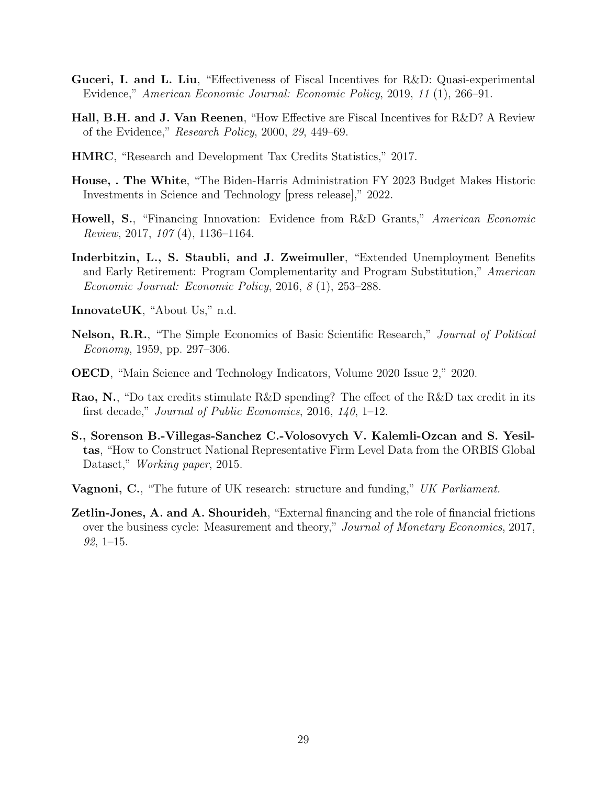- <span id="page-29-4"></span>Guceri, I. and L. Liu, "Effectiveness of Fiscal Incentives for R&D: Quasi-experimental Evidence," American Economic Journal: Economic Policy, 2019, 11 (1), 266–91.
- <span id="page-29-10"></span>Hall, B.H. and J. Van Reenen, "How Effective are Fiscal Incentives for R&D? A Review of the Evidence," Research Policy, 2000, 29, 449–69.
- <span id="page-29-9"></span>HMRC, "Research and Development Tax Credits Statistics," 2017.
- <span id="page-29-1"></span>House, . The White, "The Biden-Harris Administration FY 2023 Budget Makes Historic Investments in Science and Technology [press release]," 2022.
- <span id="page-29-5"></span>Howell, S., "Financing Innovation: Evidence from R&D Grants," American Economic Review, 2017, 107 (4), 1136–1164.
- <span id="page-29-6"></span>Inderbitzin, L., S. Staubli, and J. Zweimuller, "Extended Unemployment Benefits and Early Retirement: Program Complementarity and Program Substitution," American Economic Journal: Economic Policy, 2016, 8 (1), 253–288.
- <span id="page-29-8"></span>InnovateUK, "About Us," n.d.
- <span id="page-29-0"></span>Nelson, R.R., "The Simple Economics of Basic Scientific Research," Journal of Political Economy, 1959, pp. 297–306.
- <span id="page-29-7"></span>OECD, "Main Science and Technology Indicators, Volume 2020 Issue 2," 2020.
- <span id="page-29-3"></span>Rao, N., "Do tax credits stimulate R&D spending? The effect of the R&D tax credit in its first decade," Journal of Public Economics, 2016, 140, 1–12.
- <span id="page-29-12"></span>S., Sorenson B.-Villegas-Sanchez C.-Volosovych V. Kalemli-Ozcan and S. Yesiltas, "How to Construct National Representative Firm Level Data from the ORBIS Global Dataset," *Working paper*, 2015.
- <span id="page-29-2"></span>**Vagnoni, C.**, "The future of UK research: structure and funding," UK Parliament.
- <span id="page-29-11"></span>Zetlin-Jones, A. and A. Shourideh, "External financing and the role of financial frictions over the business cycle: Measurement and theory," Journal of Monetary Economics, 2017,  $92, 1-15.$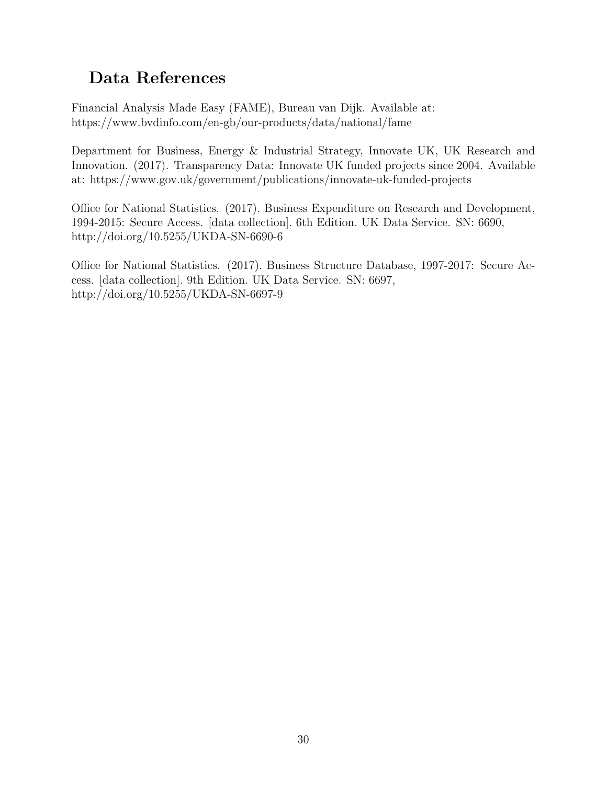# Data References

Financial Analysis Made Easy (FAME), Bureau van Dijk. Available at: https://www.bvdinfo.com/en-gb/our-products/data/national/fame

Department for Business, Energy & Industrial Strategy, Innovate UK, UK Research and Innovation. (2017). Transparency Data: Innovate UK funded projects since 2004. Available at: https://www.gov.uk/government/publications/innovate-uk-funded-projects

Office for National Statistics. (2017). Business Expenditure on Research and Development, 1994-2015: Secure Access. [data collection]. 6th Edition. UK Data Service. SN: 6690, http://doi.org/10.5255/UKDA-SN-6690-6

Office for National Statistics. (2017). Business Structure Database, 1997-2017: Secure Access. [data collection]. 9th Edition. UK Data Service. SN: 6697, http://doi.org/10.5255/UKDA-SN-6697-9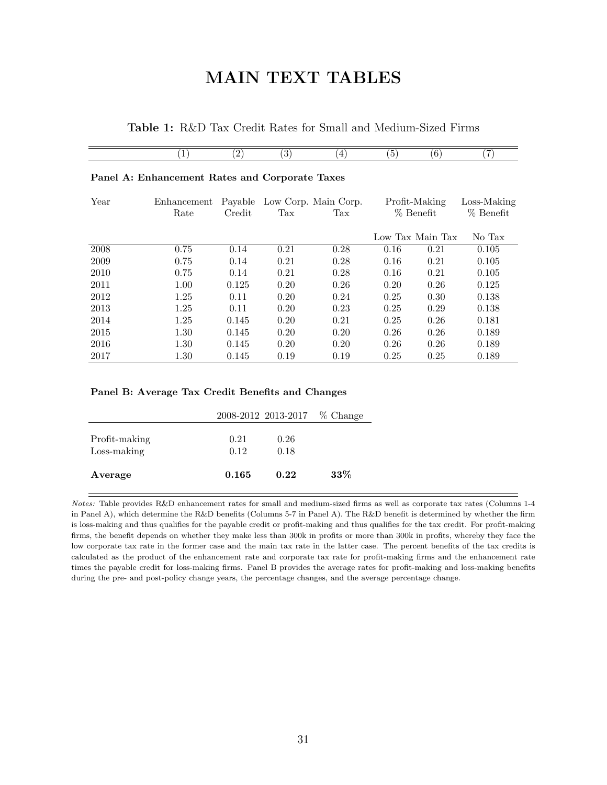# MAIN TEXT TABLES

| <b>Table 1:</b> R&D Tax Credit Rates for Small and Medium-Sized Firms |  |
|-----------------------------------------------------------------------|--|
|-----------------------------------------------------------------------|--|

<span id="page-31-0"></span>

|                                                | $\left  \right $    | $\left( 2\right)$ | $\left( 3\right)$ | $\left(4\right)$                    | (5)  | $\left( 6\right)$            | (7)                        |
|------------------------------------------------|---------------------|-------------------|-------------------|-------------------------------------|------|------------------------------|----------------------------|
| Panel A: Enhancement Rates and Corporate Taxes |                     |                   |                   |                                     |      |                              |                            |
| Year                                           | Enhancement<br>Rate | Credit            | Tax               | Payable Low Corp. Main Corp.<br>Tax |      | Profit-Making<br>$%$ Benefit | Loss-Making<br>$%$ Benefit |
|                                                |                     |                   |                   |                                     |      | Low Tax Main Tax             | No Tax                     |
| 2008                                           | 0.75                | 0.14              | 0.21              | 0.28                                | 0.16 | 0.21                         | 0.105                      |
| 2009                                           | 0.75                | 0.14              | 0.21              | 0.28                                | 0.16 | 0.21                         | 0.105                      |
| 2010                                           | 0.75                | 0.14              | 0.21              | 0.28                                | 0.16 | 0.21                         | 0.105                      |
| 2011                                           | 1.00                | 0.125             | 0.20              | 0.26                                | 0.20 | 0.26                         | 0.125                      |
| 2012                                           | 1.25                | 0.11              | 0.20              | 0.24                                | 0.25 | 0.30                         | 0.138                      |
| 2013                                           | 1.25                | 0.11              | 0.20              | 0.23                                | 0.25 | 0.29                         | 0.138                      |
| 2014                                           | 1.25                | 0.145             | 0.20              | 0.21                                | 0.25 | 0.26                         | 0.181                      |
| 2015                                           | 1.30                | 0.145             | 0.20              | 0.20                                | 0.26 | 0.26                         | 0.189                      |
| 2016                                           | 1.30                | 0.145             | 0.20              | 0.20                                | 0.26 | 0.26                         | 0.189                      |
| 2017                                           | $1.30\,$            | 0.145             | 0.19              | 0.19                                | 0.25 | 0.25                         | 0.189                      |

#### Panel B: Average Tax Credit Benefits and Changes

|                              |              | 2008-2012 2013-2017 % Change |        |
|------------------------------|--------------|------------------------------|--------|
| Profit-making<br>Loss-making | 0.21<br>0.12 | 0.26<br>0.18                 |        |
| Average                      | 0.165        | 0.22                         | $33\%$ |

Notes: Table provides R&D enhancement rates for small and medium-sized firms as well as corporate tax rates (Columns 1-4 in Panel A), which determine the R&D benefits (Columns 5-7 in Panel A). The R&D benefit is determined by whether the firm is loss-making and thus qualifies for the payable credit or profit-making and thus qualifies for the tax credit. For profit-making firms, the benefit depends on whether they make less than 300k in profits or more than 300k in profits, whereby they face the low corporate tax rate in the former case and the main tax rate in the latter case. The percent benefits of the tax credits is calculated as the product of the enhancement rate and corporate tax rate for profit-making firms and the enhancement rate times the payable credit for loss-making firms. Panel B provides the average rates for profit-making and loss-making benefits during the pre- and post-policy change years, the percentage changes, and the average percentage change.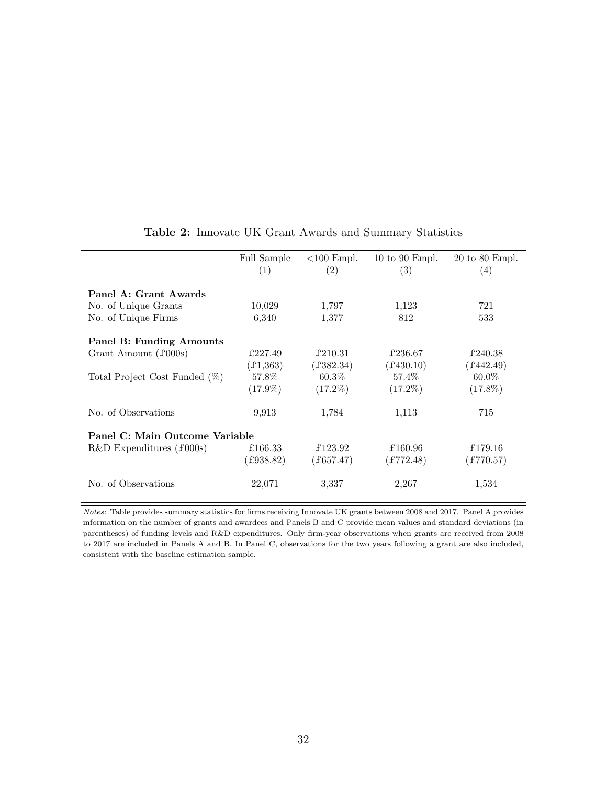<span id="page-32-0"></span>

|                                | Full Sample<br>$\left( 1\right)$ | $<100$ Empl.<br>$\left( 2\right)$ | $10 \text{ to } 90 \text{ Empl.}$<br>$\left( 3\right)$ | $20$ to $80$ Empl.<br>$\left(4\right)$ |  |  |  |
|--------------------------------|----------------------------------|-----------------------------------|--------------------------------------------------------|----------------------------------------|--|--|--|
| Panel A: Grant Awards          |                                  |                                   |                                                        |                                        |  |  |  |
| No. of Unique Grants           | 10,029                           | 1,797                             | 1,123                                                  | 721                                    |  |  |  |
| No. of Unique Firms            | 6,340                            | 1,377                             | 812                                                    | 533                                    |  |  |  |
| Panel B: Funding Amounts       |                                  |                                   |                                                        |                                        |  |  |  |
| Grant Amount (£000s)           | £227.49                          | £210.31                           | £236.67                                                | £240.38                                |  |  |  |
|                                | (£1,363)                         | £382.34)                          | $(\pounds430.10)$                                      | £442.49)                               |  |  |  |
| Total Project Cost Funded (%)  | 57.8%                            | $60.3\%$                          | 57.4\%                                                 | $60.0\%$                               |  |  |  |
|                                | $(17.9\%)$                       | $(17.2\%)$                        | $(17.2\%)$                                             | $(17.8\%)$                             |  |  |  |
| No. of Observations            | 9,913                            | 1,784                             | 1,113                                                  | 715                                    |  |  |  |
| Panel C: Main Outcome Variable |                                  |                                   |                                                        |                                        |  |  |  |
| $R&D$ Expenditures (£000s)     | £166.33                          | £123.92                           | £160.96                                                | £179.16                                |  |  |  |
|                                | £938.82)                         | £657.47)                          | (E772.48)                                              | £770.57)                               |  |  |  |
| No. of Observations            | 22,071                           | 3,337                             | 2,267                                                  | 1,534                                  |  |  |  |

## Table 2: Innovate UK Grant Awards and Summary Statistics

Notes: Table provides summary statistics for firms receiving Innovate UK grants between 2008 and 2017. Panel A provides information on the number of grants and awardees and Panels B and C provide mean values and standard deviations (in parentheses) of funding levels and R&D expenditures. Only firm-year observations when grants are received from 2008 to 2017 are included in Panels A and B. In Panel C, observations for the two years following a grant are also included, consistent with the baseline estimation sample.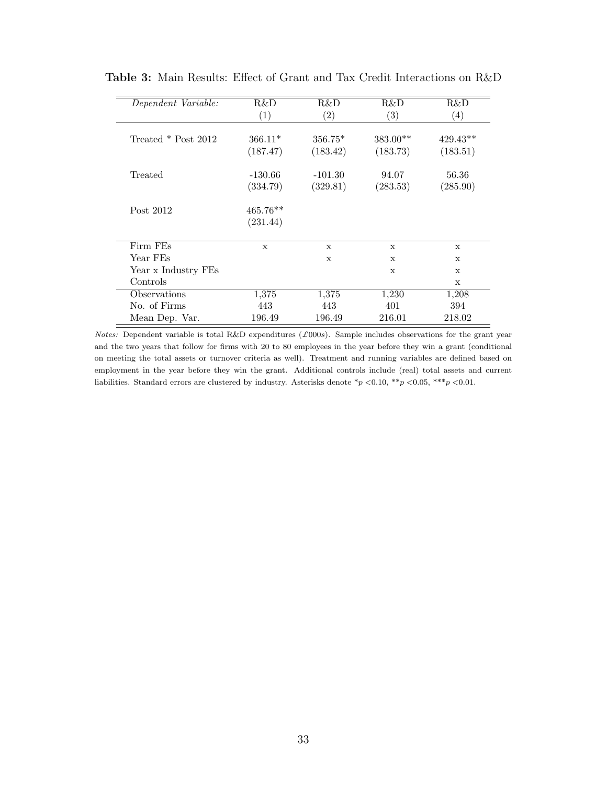| Dependent Variable:   | R&D         | R&D          | R&D               | R&D          |
|-----------------------|-------------|--------------|-------------------|--------------|
|                       | (1)         | (2)          | $\left( 3\right)$ | (4)          |
|                       |             |              |                   |              |
| Treated $*$ Post 2012 | $366.11*$   | $356.75*$    | $383.00**$        | $429.43**$   |
|                       | (187.47)    | (183.42)     | (183.73)          | (183.51)     |
| Treated               | $-130.66$   | $-101.30$    | 94.07             | 56.36        |
|                       | (334.79)    | (329.81)     | (283.53)          | (285.90)     |
| Post 2012             | $465.76**$  |              |                   |              |
|                       | (231.44)    |              |                   |              |
| Firm FEs              | $\mathbf x$ | $\mathbf{x}$ | $\mathbf{x}$      | X            |
| Year FEs              |             | $\mathbf{x}$ | $\mathbf x$       | $\mathbf x$  |
| Year x Industry FEs   |             |              | X                 | $\mathbf{x}$ |
| Controls              |             |              |                   | X            |
| Observations          | 1,375       | 1,375        | 1,230             | 1,208        |
| No. of Firms          | 443         | 443          | 401               | 394          |
| Mean Dep. Var.        | 196.49      | 196.49       | 216.01            | 218.02       |

<span id="page-33-0"></span>Table 3: Main Results: Effect of Grant and Tax Credit Interactions on R&D

Notes: Dependent variable is total R&D expenditures ( $\pounds 000s$ ). Sample includes observations for the grant year and the two years that follow for firms with 20 to 80 employees in the year before they win a grant (conditional on meeting the total assets or turnover criteria as well). Treatment and running variables are defined based on employment in the year before they win the grant. Additional controls include (real) total assets and current liabilities. Standard errors are clustered by industry. Asterisks denote  $*_p$  <0.10,  $**_p$  <0.05, \*\*\*p <0.01.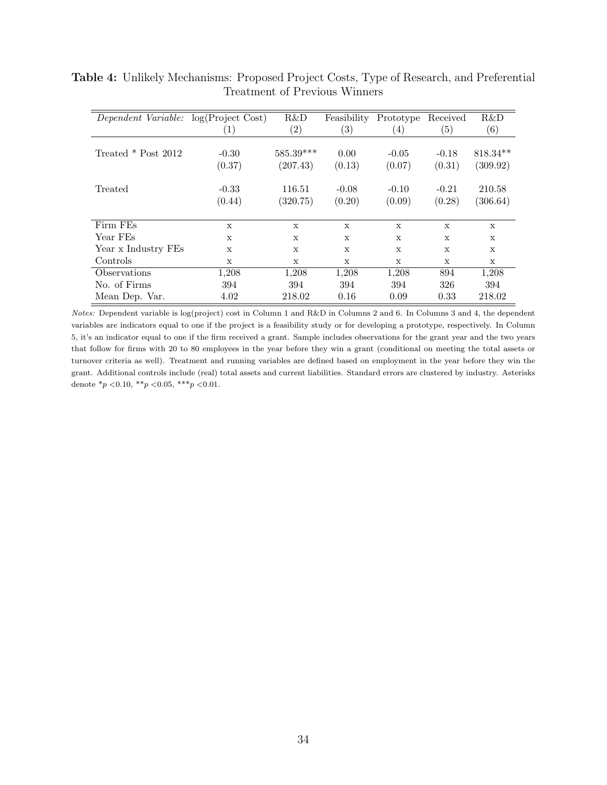<span id="page-34-0"></span>

| Dependent Variable:   | log(Project Cost) | R&D               | Feasibility       | Prototype         | Received     | R&D          |
|-----------------------|-------------------|-------------------|-------------------|-------------------|--------------|--------------|
|                       | $\left( 1\right)$ | $\left( 2\right)$ | $\left( 3\right)$ | $\left( 4\right)$ | (5)          | (6)          |
|                       |                   |                   |                   |                   |              |              |
| Treated $*$ Post 2012 | $-0.30$           | $585.39***$       | 0.00              | $-0.05$           | $-0.18$      | $818.34**$   |
|                       | (0.37)            | (207.43)          | (0.13)            | (0.07)            | (0.31)       | (309.92)     |
| Treated               | $-0.33$           | 116.51            | $-0.08$           | $-0.10$           | $-0.21$      | 210.58       |
|                       | (0.44)            | (320.75)          | (0.20)            | (0.09)            | (0.28)       | (306.64)     |
|                       |                   |                   |                   |                   |              |              |
| Firm FEs              | X                 | X                 | $\mathbf{x}$      | X                 | $\mathbf{x}$ | $\mathbf{x}$ |
| Year FEs              | $\mathbf x$       | X                 | $\mathbf{x}$      | X                 | $\mathbf{x}$ | $\mathbf{x}$ |
| Year x Industry FEs   | $\mathbf x$       | $\mathbf{x}$      | $\mathbf{x}$      | $\mathbf{x}$      | $\mathbf{x}$ | $\mathbf{x}$ |
| Controls              | X                 | X                 | X                 | X                 | X            | $\mathbf x$  |
| Observations          | 1,208             | 1,208             | 1,208             | 1,208             | 894          | 1,208        |
| No. of Firms          | 394               | 394               | 394               | 394               | 326          | 394          |
| Mean Dep. Var.        | 4.02              | 218.02            | 0.16              | 0.09              | 0.33         | 218.02       |

Table 4: Unlikely Mechanisms: Proposed Project Costs, Type of Research, and Preferential Treatment of Previous Winners

Notes: Dependent variable is log(project) cost in Column 1 and R&D in Columns 2 and 6. In Columns 3 and 4, the dependent variables are indicators equal to one if the project is a feasibility study or for developing a prototype, respectively. In Column 5, it's an indicator equal to one if the firm received a grant. Sample includes observations for the grant year and the two years that follow for firms with 20 to 80 employees in the year before they win a grant (conditional on meeting the total assets or turnover criteria as well). Treatment and running variables are defined based on employment in the year before they win the grant. Additional controls include (real) total assets and current liabilities. Standard errors are clustered by industry. Asterisks denote  $*_{p}$  < 0.10,  $*_{p}$  < 0.05,  $*_{p}$  < 0.01.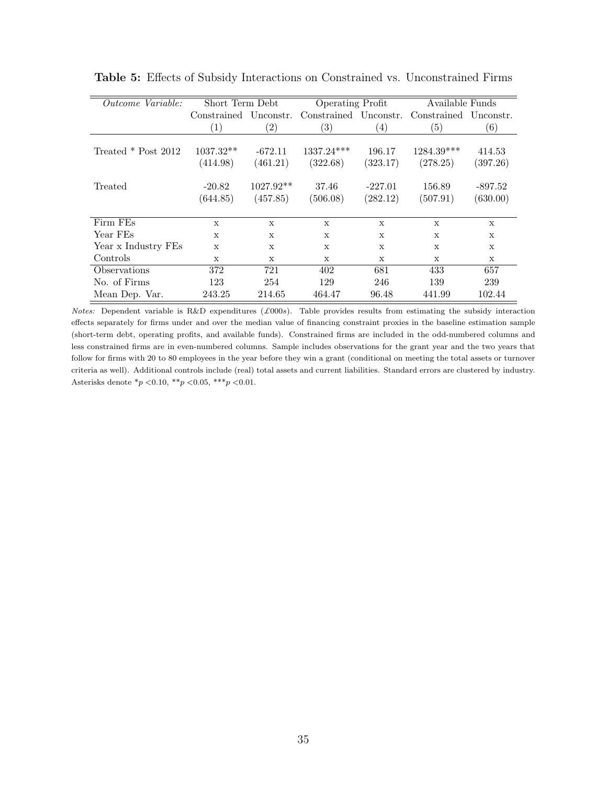<span id="page-35-0"></span>

| Outcome Variable:     | Short Term Debt       |                   |                       | Operating Profit |                       | Available Funds |
|-----------------------|-----------------------|-------------------|-----------------------|------------------|-----------------------|-----------------|
|                       | Constrained Unconstr. |                   | Constrained Unconstr. |                  | Constrained Unconstr. |                 |
|                       | (1)                   | $\left( 2\right)$ | $\left( 3\right)$     | (4)              | (5)                   | (6)             |
|                       |                       |                   |                       |                  |                       |                 |
| Treated $*$ Post 2012 | $1037.32**$           | $-672.11$         | $1337.24***$          | 196.17           | $1284.39***$          | 414.53          |
|                       | (414.98)              | (461.21)          | (322.68)              | (323.17)         | (278.25)              | (397.26)        |
|                       |                       |                   |                       |                  |                       |                 |
| Treated               | $-20.82$              | $1027.92**$       | 37.46                 | $-227.01$        | 156.89                | $-897.52$       |
|                       | (644.85)              | (457.85)          | (506.08)              | (282.12)         | (507.91)              | (630.00)        |
|                       |                       |                   |                       |                  |                       |                 |
| Firm FEs              | $\mathbf{x}$          | $\mathbf{x}$      | $\mathbf{x}$          | $\mathbf{x}$     | $\mathbf x$           | $\mathbf{x}$    |
| Year FEs              | $\mathbf{x}$          | $\mathbf x$       | $\mathbf x$           | $\mathbf{x}$     | $\mathbf x$           | $\mathbf{x}$    |
| Year x Industry FEs   | $\mathbf x$           | X                 | $\mathbf{x}$          | X                | $\mathbf x$           | X               |
| Controls              | X                     | $\mathbf{x}$      | $\mathbf{x}$          | $\mathbf{x}$     | $\mathbf x$           | $\mathbf x$     |
| Observations          | 372                   | 721               | 402                   | 681              | 433                   | 657             |
| No. of Firms          | 123                   | 254               | 129                   | 246              | 139                   | 239             |
| Mean Dep. Var.        | 243.25                | 214.65            | 464.47                | 96.48            | 441.99                | 102.44          |

Table 5: Effects of Subsidy Interactions on Constrained vs. Unconstrained Firms

Notes: Dependent variable is R&D expenditures ( $\pounds000s$ ). Table provides results from estimating the subsidy interaction effects separately for firms under and over the median value of financing constraint proxies in the baseline estimation sample (short-term debt, operating profits, and available funds). Constrained firms are included in the odd-numbered columns and less constrained firms are in even-numbered columns. Sample includes observations for the grant year and the two years that follow for firms with 20 to 80 employees in the year before they win a grant (conditional on meeting the total assets or turnover criteria as well). Additional controls include (real) total assets and current liabilities. Standard errors are clustered by industry. Asterisks denote  $*_{p}$  < 0.10,  $*_{p}$  < 0.05,  $*_{p}$  < 0.01.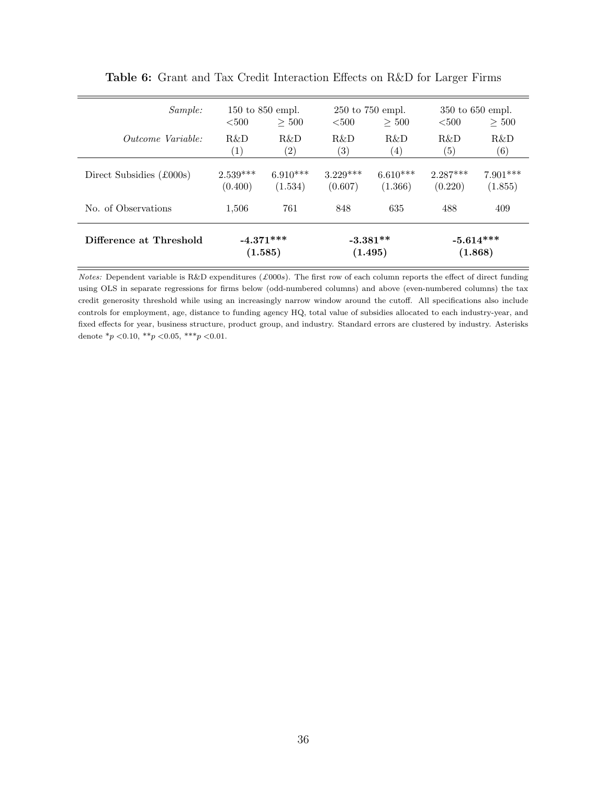<span id="page-36-0"></span>

| Difference at Threshold         | $-4.371***$       |                               | $-3.381**$ |                               | $-5.614***$ |                               |
|---------------------------------|-------------------|-------------------------------|------------|-------------------------------|-------------|-------------------------------|
|                                 | (1.585)           |                               | (1.495)    |                               | (1.868)     |                               |
| No. of Observations             | 1,506             | 761                           | 848        | 635                           | 488         | 409                           |
| Direct Subsidies (£000s)        | $2.539***$        | $6.910***$                    | $3.229***$ | $6.610***$                    | $2.287***$  | $7.901***$                    |
|                                 | (0.400)           | (1.534)                       | (0.607)    | (1.366)                       | (0.220)     | (1.855)                       |
| <i><u>Outcome Variable:</u></i> | R&D               | $R\&D$                        | R&D        | R&D                           | R&D         | R&D                           |
|                                 | $\left( 1\right)$ | (2)                           | (3)        | (4)                           | (5)         | (6)                           |
| <i>Sample:</i>                  | $500$             | $150$ to $850$ empl.<br>> 500 | $500$      | $250$ to $750$ empl.<br>> 500 | $500$       | $350$ to $650$ empl.<br>> 500 |

Table 6: Grant and Tax Credit Interaction Effects on R&D for Larger Firms

Notes: Dependent variable is R&D expenditures (£000s). The first row of each column reports the effect of direct funding using OLS in separate regressions for firms below (odd-numbered columns) and above (even-numbered columns) the tax credit generosity threshold while using an increasingly narrow window around the cutoff. All specifications also include controls for employment, age, distance to funding agency HQ, total value of subsidies allocated to each industry-year, and fixed effects for year, business structure, product group, and industry. Standard errors are clustered by industry. Asterisks denote  $*_p$  <0.10,  $*_p$  <0.05,  $**_p$  <0.01.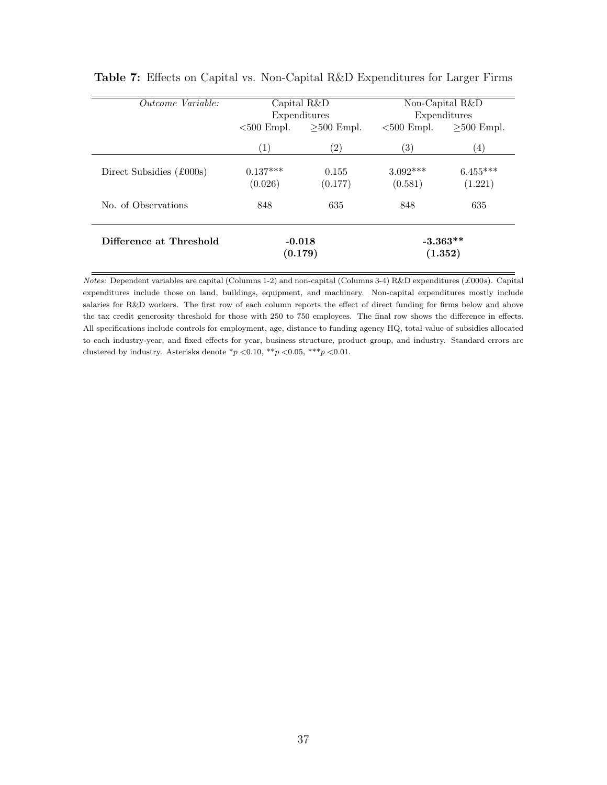<span id="page-37-0"></span>

| Outcome Variable:        |                             | Capital $R&D$<br>Expenditures | Non-Capital R&D<br>Expenditures |                       |  |
|--------------------------|-----------------------------|-------------------------------|---------------------------------|-----------------------|--|
|                          | $>500$ Empl.<br>$500$ Empl. |                               | $500$ Empl.                     | $>500$ Empl.          |  |
|                          | (1)                         | $\left( 2\right)$             | $\left( 3\right)$               | $\left( 4\right)$     |  |
| Direct Subsidies (£000s) | $0.137***$<br>(0.026)       | 0.155<br>(0.177)              | $3.092***$<br>(0.581)           | $6.455***$<br>(1.221) |  |
| No. of Observations      | 848                         | 635                           | 848                             | 635                   |  |
| Difference at Threshold  | $-0.018$<br>(0.179)         |                               |                                 | $-3.363**$<br>(1.352) |  |

Table 7: Effects on Capital vs. Non-Capital R&D Expenditures for Larger Firms

Notes: Dependent variables are capital (Columns 1-2) and non-capital (Columns 3-4) R&D expenditures (£000s). Capital expenditures include those on land, buildings, equipment, and machinery. Non-capital expenditures mostly include salaries for R&D workers. The first row of each column reports the effect of direct funding for firms below and above the tax credit generosity threshold for those with 250 to 750 employees. The final row shows the difference in effects. All specifications include controls for employment, age, distance to funding agency HQ, total value of subsidies allocated to each industry-year, and fixed effects for year, business structure, product group, and industry. Standard errors are clustered by industry. Asterisks denote  $\binom{*}{p}$  <0.10,  $\binom{**}{p}$  <0.05,  $\binom{**}{p}$  <0.01.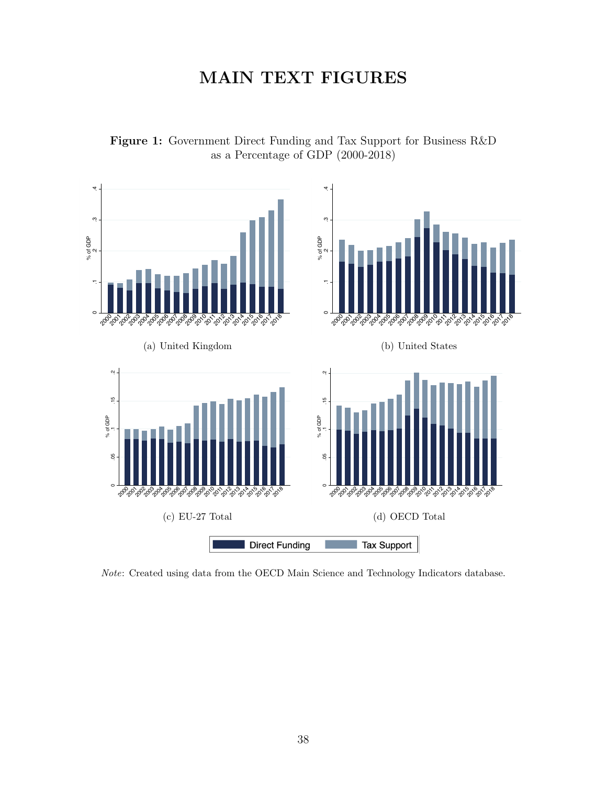# MAIN TEXT FIGURES



<span id="page-38-0"></span>

Note: Created using data from the OECD Main Science and Technology Indicators database.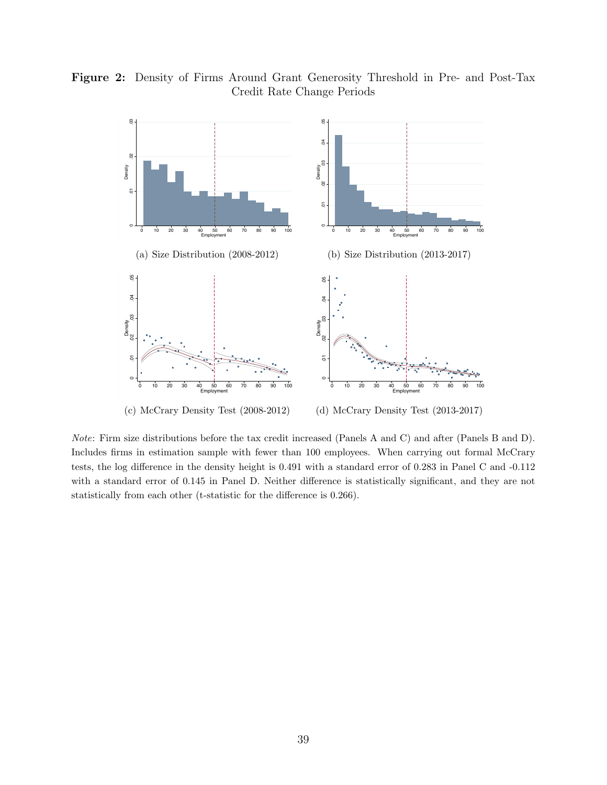<span id="page-39-0"></span>



Note: Firm size distributions before the tax credit increased (Panels A and C) and after (Panels B and D). Includes firms in estimation sample with fewer than 100 employees. When carrying out formal McCrary tests, the log difference in the density height is 0.491 with a standard error of 0.283 in Panel C and -0.112 with a standard error of 0.145 in Panel D. Neither difference is statistically significant, and they are not statistically from each other (t-statistic for the difference is 0.266).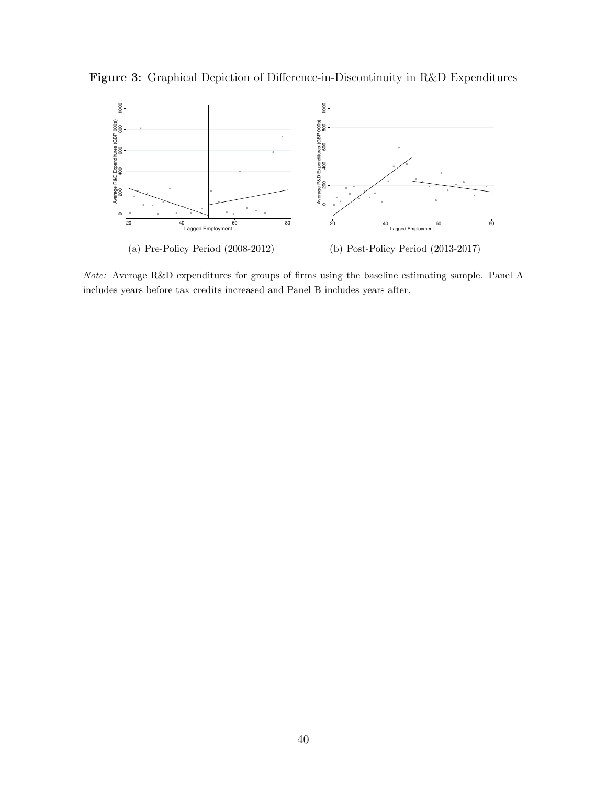<span id="page-40-0"></span>



Note: Average R&D expenditures for groups of firms using the baseline estimating sample. Panel A includes years before tax credits increased and Panel B includes years after.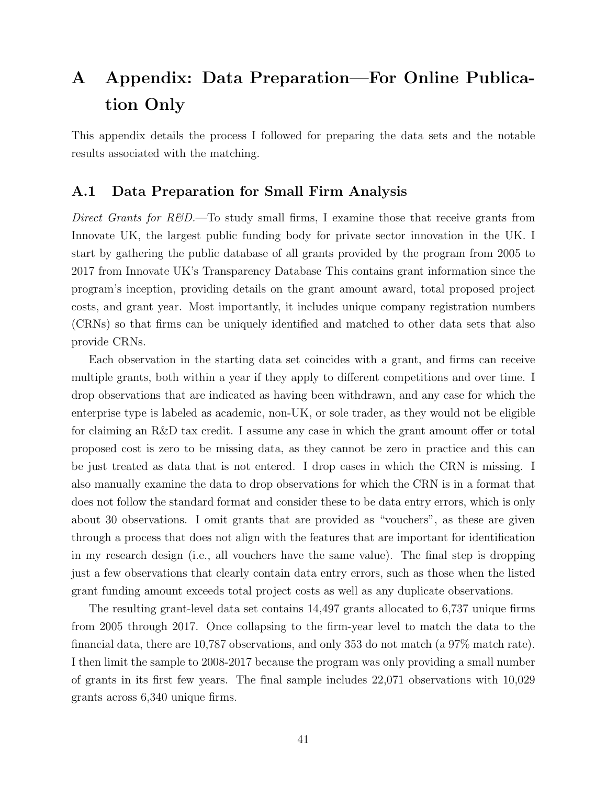# <span id="page-41-0"></span>A Appendix: Data Preparation—For Online Publication Only

This appendix details the process I followed for preparing the data sets and the notable results associated with the matching.

## A.1 Data Preparation for Small Firm Analysis

Direct Grants for  $R\&D$ .—To study small firms, I examine those that receive grants from Innovate UK, the largest public funding body for private sector innovation in the UK. I start by gathering the public database of all grants provided by the program from 2005 to 2017 from Innovate UK's Transparency Database This contains grant information since the program's inception, providing details on the grant amount award, total proposed project costs, and grant year. Most importantly, it includes unique company registration numbers (CRNs) so that firms can be uniquely identified and matched to other data sets that also provide CRNs.

Each observation in the starting data set coincides with a grant, and firms can receive multiple grants, both within a year if they apply to different competitions and over time. I drop observations that are indicated as having been withdrawn, and any case for which the enterprise type is labeled as academic, non-UK, or sole trader, as they would not be eligible for claiming an R&D tax credit. I assume any case in which the grant amount offer or total proposed cost is zero to be missing data, as they cannot be zero in practice and this can be just treated as data that is not entered. I drop cases in which the CRN is missing. I also manually examine the data to drop observations for which the CRN is in a format that does not follow the standard format and consider these to be data entry errors, which is only about 30 observations. I omit grants that are provided as "vouchers", as these are given through a process that does not align with the features that are important for identification in my research design (i.e., all vouchers have the same value). The final step is dropping just a few observations that clearly contain data entry errors, such as those when the listed grant funding amount exceeds total project costs as well as any duplicate observations.

The resulting grant-level data set contains 14,497 grants allocated to 6,737 unique firms from 2005 through 2017. Once collapsing to the firm-year level to match the data to the financial data, there are 10,787 observations, and only 353 do not match (a 97% match rate). I then limit the sample to 2008-2017 because the program was only providing a small number of grants in its first few years. The final sample includes 22,071 observations with 10,029 grants across 6,340 unique firms.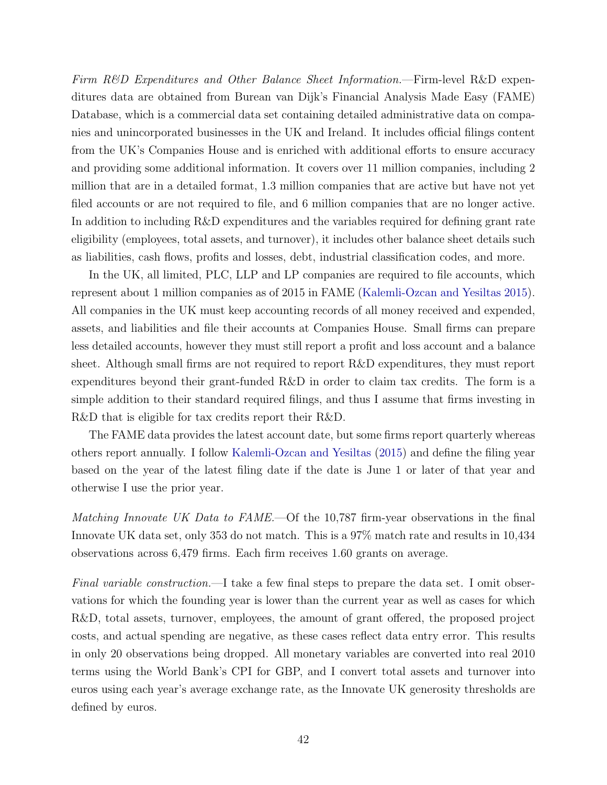Firm R&D Expenditures and Other Balance Sheet Information.—Firm-level R&D expenditures data are obtained from Burean van Dijk's Financial Analysis Made Easy (FAME) Database, which is a commercial data set containing detailed administrative data on companies and unincorporated businesses in the UK and Ireland. It includes official filings content from the UK's Companies House and is enriched with additional efforts to ensure accuracy and providing some additional information. It covers over 11 million companies, including 2 million that are in a detailed format, 1.3 million companies that are active but have not yet filed accounts or are not required to file, and 6 million companies that are no longer active. In addition to including R&D expenditures and the variables required for defining grant rate eligibility (employees, total assets, and turnover), it includes other balance sheet details such as liabilities, cash flows, profits and losses, debt, industrial classification codes, and more.

In the UK, all limited, PLC, LLP and LP companies are required to file accounts, which represent about 1 million companies as of 2015 in FAME [\(Kalemli-Ozcan and Yesiltas](#page-29-12) [2015\)](#page-29-12). All companies in the UK must keep accounting records of all money received and expended, assets, and liabilities and file their accounts at Companies House. Small firms can prepare less detailed accounts, however they must still report a profit and loss account and a balance sheet. Although small firms are not required to report R&D expenditures, they must report expenditures beyond their grant-funded R&D in order to claim tax credits. The form is a simple addition to their standard required filings, and thus I assume that firms investing in R&D that is eligible for tax credits report their R&D.

The FAME data provides the latest account date, but some firms report quarterly whereas others report annually. I follow [Kalemli-Ozcan and Yesiltas](#page-29-12) [\(2015\)](#page-29-12) and define the filing year based on the year of the latest filing date if the date is June 1 or later of that year and otherwise I use the prior year.

Matching Innovate UK Data to FAME.—Of the 10,787 firm-year observations in the final Innovate UK data set, only 353 do not match. This is a 97% match rate and results in 10,434 observations across 6,479 firms. Each firm receives 1.60 grants on average.

Final variable construction.—I take a few final steps to prepare the data set. I omit observations for which the founding year is lower than the current year as well as cases for which R&D, total assets, turnover, employees, the amount of grant offered, the proposed project costs, and actual spending are negative, as these cases reflect data entry error. This results in only 20 observations being dropped. All monetary variables are converted into real 2010 terms using the World Bank's CPI for GBP, and I convert total assets and turnover into euros using each year's average exchange rate, as the Innovate UK generosity thresholds are defined by euros.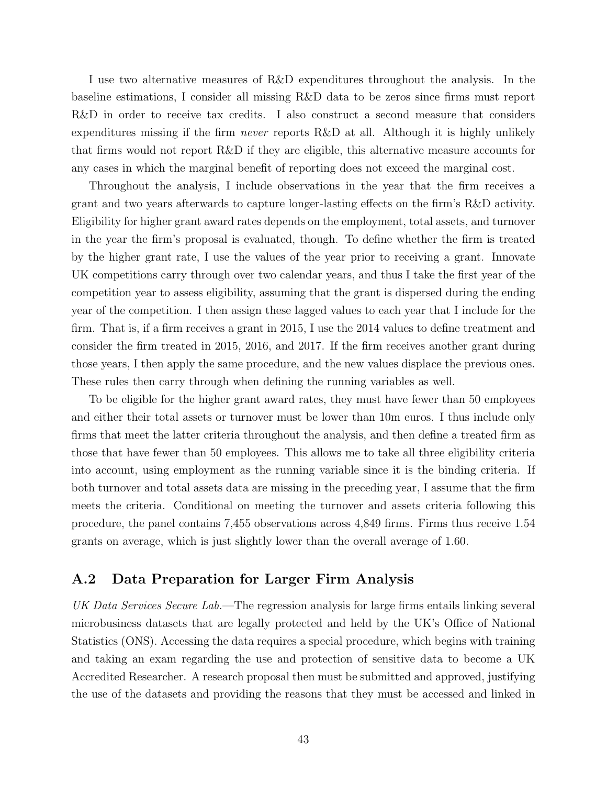I use two alternative measures of R&D expenditures throughout the analysis. In the baseline estimations, I consider all missing R&D data to be zeros since firms must report R&D in order to receive tax credits. I also construct a second measure that considers expenditures missing if the firm never reports R&D at all. Although it is highly unlikely that firms would not report R&D if they are eligible, this alternative measure accounts for any cases in which the marginal benefit of reporting does not exceed the marginal cost.

Throughout the analysis, I include observations in the year that the firm receives a grant and two years afterwards to capture longer-lasting effects on the firm's R&D activity. Eligibility for higher grant award rates depends on the employment, total assets, and turnover in the year the firm's proposal is evaluated, though. To define whether the firm is treated by the higher grant rate, I use the values of the year prior to receiving a grant. Innovate UK competitions carry through over two calendar years, and thus I take the first year of the competition year to assess eligibility, assuming that the grant is dispersed during the ending year of the competition. I then assign these lagged values to each year that I include for the firm. That is, if a firm receives a grant in 2015, I use the 2014 values to define treatment and consider the firm treated in 2015, 2016, and 2017. If the firm receives another grant during those years, I then apply the same procedure, and the new values displace the previous ones. These rules then carry through when defining the running variables as well.

To be eligible for the higher grant award rates, they must have fewer than 50 employees and either their total assets or turnover must be lower than 10m euros. I thus include only firms that meet the latter criteria throughout the analysis, and then define a treated firm as those that have fewer than 50 employees. This allows me to take all three eligibility criteria into account, using employment as the running variable since it is the binding criteria. If both turnover and total assets data are missing in the preceding year, I assume that the firm meets the criteria. Conditional on meeting the turnover and assets criteria following this procedure, the panel contains 7,455 observations across 4,849 firms. Firms thus receive 1.54 grants on average, which is just slightly lower than the overall average of 1.60.

## A.2 Data Preparation for Larger Firm Analysis

UK Data Services Secure Lab.—The regression analysis for large firms entails linking several microbusiness datasets that are legally protected and held by the UK's Office of National Statistics (ONS). Accessing the data requires a special procedure, which begins with training and taking an exam regarding the use and protection of sensitive data to become a UK Accredited Researcher. A research proposal then must be submitted and approved, justifying the use of the datasets and providing the reasons that they must be accessed and linked in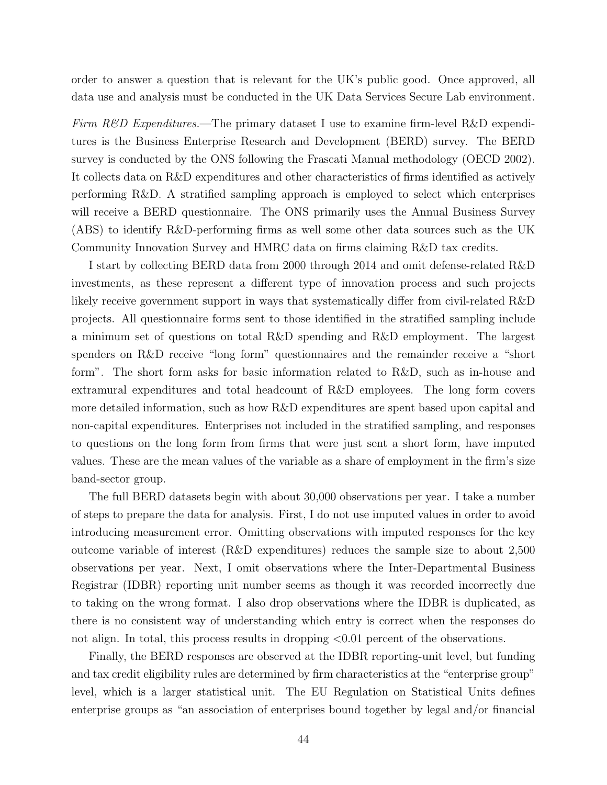order to answer a question that is relevant for the UK's public good. Once approved, all data use and analysis must be conducted in the UK Data Services Secure Lab environment.

Firm  $R\&D$  Expenditures.—The primary dataset I use to examine firm-level R&D expenditures is the Business Enterprise Research and Development (BERD) survey. The BERD survey is conducted by the ONS following the Frascati Manual methodology (OECD 2002). It collects data on R&D expenditures and other characteristics of firms identified as actively performing R&D. A stratified sampling approach is employed to select which enterprises will receive a BERD questionnaire. The ONS primarily uses the Annual Business Survey (ABS) to identify R&D-performing firms as well some other data sources such as the UK Community Innovation Survey and HMRC data on firms claiming R&D tax credits.

I start by collecting BERD data from 2000 through 2014 and omit defense-related R&D investments, as these represent a different type of innovation process and such projects likely receive government support in ways that systematically differ from civil-related R&D projects. All questionnaire forms sent to those identified in the stratified sampling include a minimum set of questions on total R&D spending and R&D employment. The largest spenders on R&D receive "long form" questionnaires and the remainder receive a "short form". The short form asks for basic information related to R&D, such as in-house and extramural expenditures and total headcount of R&D employees. The long form covers more detailed information, such as how R&D expenditures are spent based upon capital and non-capital expenditures. Enterprises not included in the stratified sampling, and responses to questions on the long form from firms that were just sent a short form, have imputed values. These are the mean values of the variable as a share of employment in the firm's size band-sector group.

The full BERD datasets begin with about 30,000 observations per year. I take a number of steps to prepare the data for analysis. First, I do not use imputed values in order to avoid introducing measurement error. Omitting observations with imputed responses for the key outcome variable of interest (R&D expenditures) reduces the sample size to about 2,500 observations per year. Next, I omit observations where the Inter-Departmental Business Registrar (IDBR) reporting unit number seems as though it was recorded incorrectly due to taking on the wrong format. I also drop observations where the IDBR is duplicated, as there is no consistent way of understanding which entry is correct when the responses do not align. In total, this process results in dropping  $\leq 0.01$  percent of the observations.

Finally, the BERD responses are observed at the IDBR reporting-unit level, but funding and tax credit eligibility rules are determined by firm characteristics at the "enterprise group" level, which is a larger statistical unit. The EU Regulation on Statistical Units defines enterprise groups as "an association of enterprises bound together by legal and/or financial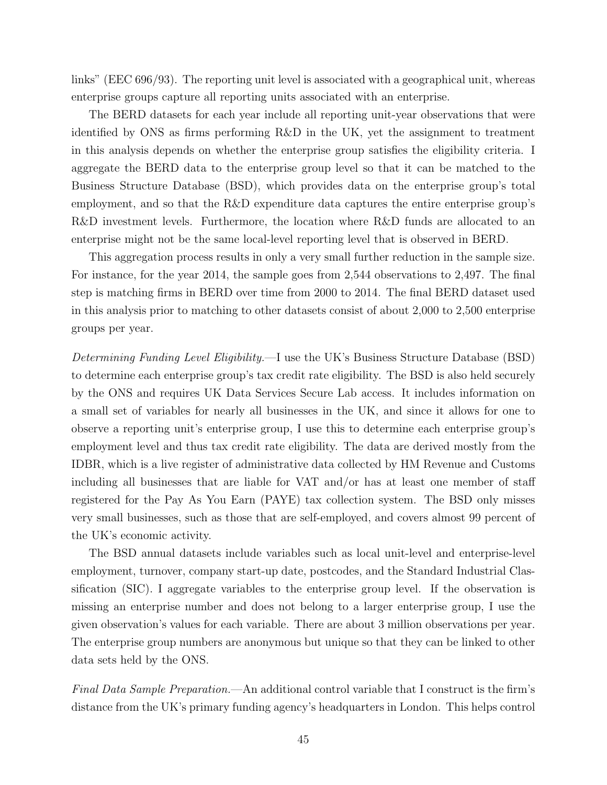links" (EEC 696/93). The reporting unit level is associated with a geographical unit, whereas enterprise groups capture all reporting units associated with an enterprise.

The BERD datasets for each year include all reporting unit-year observations that were identified by ONS as firms performing R&D in the UK, yet the assignment to treatment in this analysis depends on whether the enterprise group satisfies the eligibility criteria. I aggregate the BERD data to the enterprise group level so that it can be matched to the Business Structure Database (BSD), which provides data on the enterprise group's total employment, and so that the R&D expenditure data captures the entire enterprise group's R&D investment levels. Furthermore, the location where R&D funds are allocated to an enterprise might not be the same local-level reporting level that is observed in BERD.

This aggregation process results in only a very small further reduction in the sample size. For instance, for the year 2014, the sample goes from 2,544 observations to 2,497. The final step is matching firms in BERD over time from 2000 to 2014. The final BERD dataset used in this analysis prior to matching to other datasets consist of about 2,000 to 2,500 enterprise groups per year.

Determining Funding Level Eligibility.—I use the UK's Business Structure Database (BSD) to determine each enterprise group's tax credit rate eligibility. The BSD is also held securely by the ONS and requires UK Data Services Secure Lab access. It includes information on a small set of variables for nearly all businesses in the UK, and since it allows for one to observe a reporting unit's enterprise group, I use this to determine each enterprise group's employment level and thus tax credit rate eligibility. The data are derived mostly from the IDBR, which is a live register of administrative data collected by HM Revenue and Customs including all businesses that are liable for VAT and/or has at least one member of staff registered for the Pay As You Earn (PAYE) tax collection system. The BSD only misses very small businesses, such as those that are self-employed, and covers almost 99 percent of the UK's economic activity.

The BSD annual datasets include variables such as local unit-level and enterprise-level employment, turnover, company start-up date, postcodes, and the Standard Industrial Classification (SIC). I aggregate variables to the enterprise group level. If the observation is missing an enterprise number and does not belong to a larger enterprise group, I use the given observation's values for each variable. There are about 3 million observations per year. The enterprise group numbers are anonymous but unique so that they can be linked to other data sets held by the ONS.

Final Data Sample Preparation.—An additional control variable that I construct is the firm's distance from the UK's primary funding agency's headquarters in London. This helps control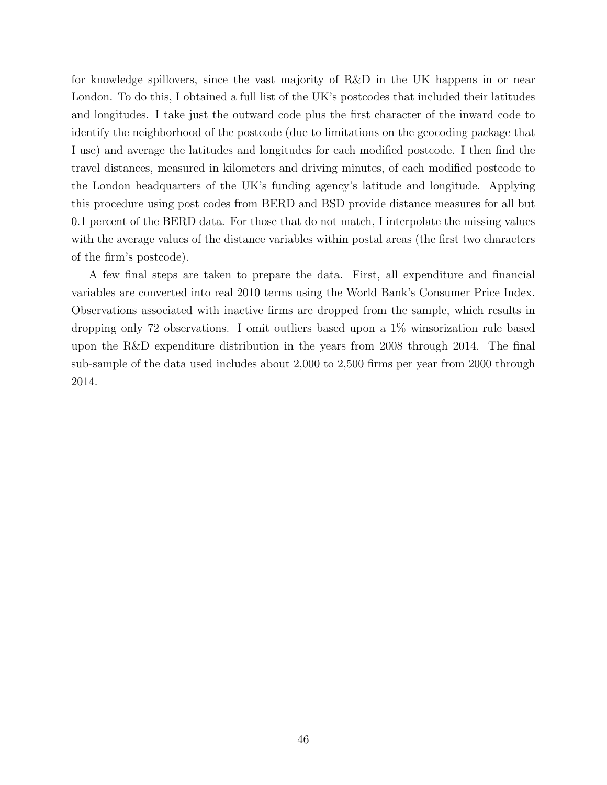for knowledge spillovers, since the vast majority of R&D in the UK happens in or near London. To do this, I obtained a full list of the UK's postcodes that included their latitudes and longitudes. I take just the outward code plus the first character of the inward code to identify the neighborhood of the postcode (due to limitations on the geocoding package that I use) and average the latitudes and longitudes for each modified postcode. I then find the travel distances, measured in kilometers and driving minutes, of each modified postcode to the London headquarters of the UK's funding agency's latitude and longitude. Applying this procedure using post codes from BERD and BSD provide distance measures for all but 0.1 percent of the BERD data. For those that do not match, I interpolate the missing values with the average values of the distance variables within postal areas (the first two characters of the firm's postcode).

A few final steps are taken to prepare the data. First, all expenditure and financial variables are converted into real 2010 terms using the World Bank's Consumer Price Index. Observations associated with inactive firms are dropped from the sample, which results in dropping only 72 observations. I omit outliers based upon a 1% winsorization rule based upon the R&D expenditure distribution in the years from 2008 through 2014. The final sub-sample of the data used includes about 2,000 to 2,500 firms per year from 2000 through 2014.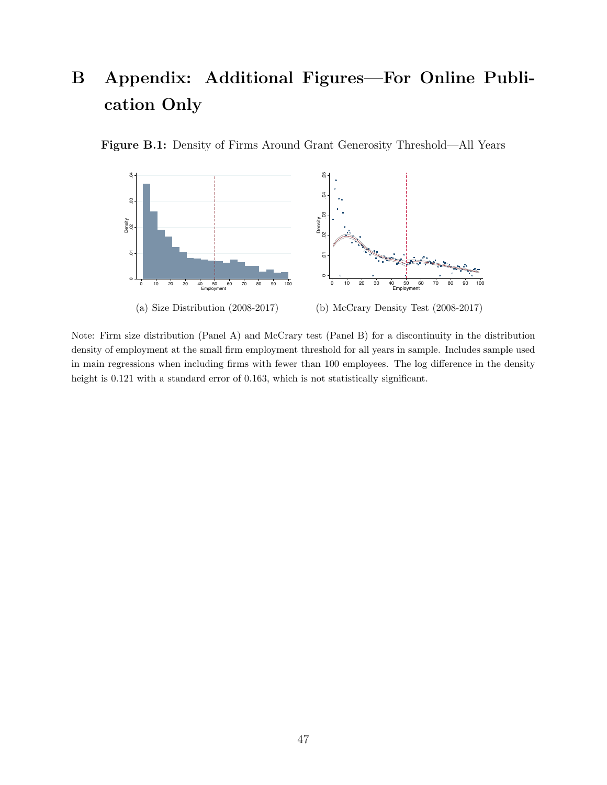# B Appendix: Additional Figures—For Online Publication Only

<span id="page-47-0"></span>



Note: Firm size distribution (Panel A) and McCrary test (Panel B) for a discontinuity in the distribution density of employment at the small firm employment threshold for all years in sample. Includes sample used in main regressions when including firms with fewer than 100 employees. The log difference in the density height is 0.121 with a standard error of 0.163, which is not statistically significant.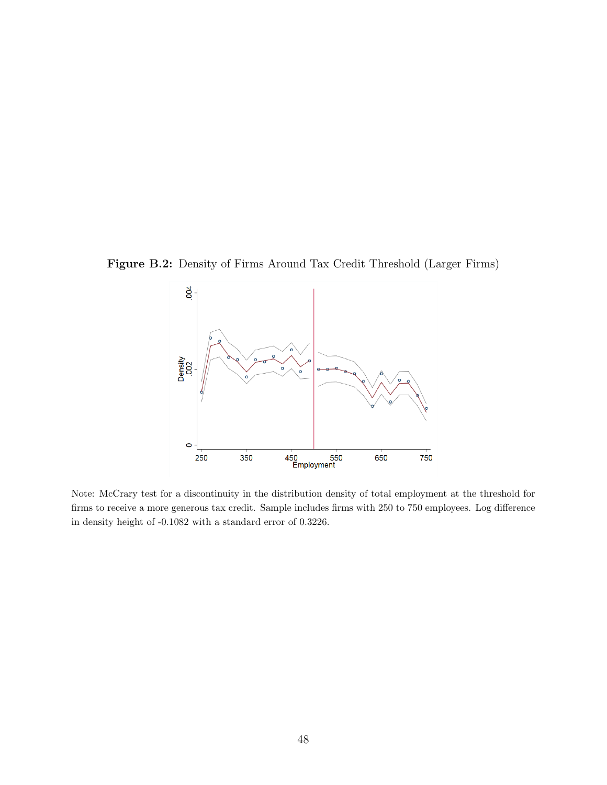<span id="page-48-0"></span>Figure B.2: Density of Firms Around Tax Credit Threshold (Larger Firms)



Note: McCrary test for a discontinuity in the distribution density of total employment at the threshold for firms to receive a more generous tax credit. Sample includes firms with 250 to 750 employees. Log difference in density height of -0.1082 with a standard error of 0.3226.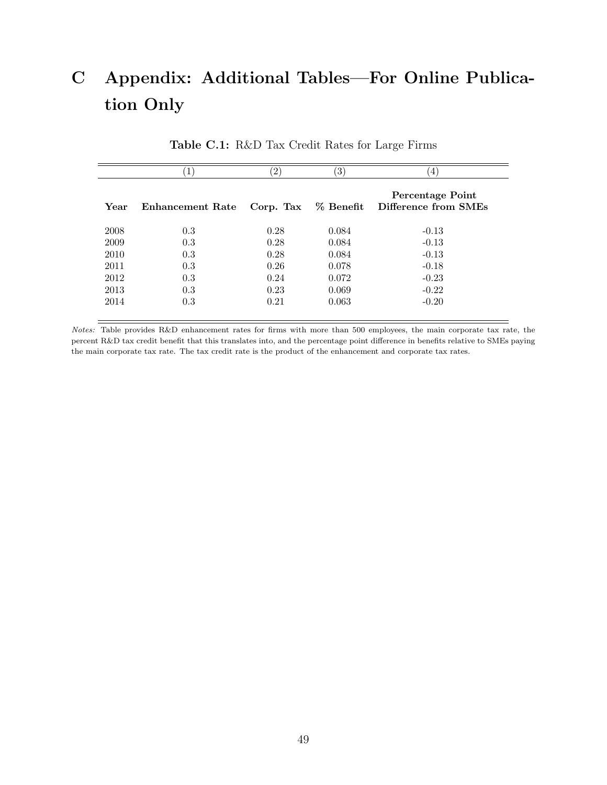# C Appendix: Additional Tables—For Online Publication Only

<span id="page-49-0"></span>

|      | Ŧ.               | $^{\prime}2)$ | $\left(3\right)$ | $\overline{4}$                           |
|------|------------------|---------------|------------------|------------------------------------------|
| Year | Enhancement Rate | Corp. Tax     | $%$ Benefit      | Percentage Point<br>Difference from SMEs |
| 2008 | 0.3              | 0.28          | 0.084            | $-0.13$                                  |
| 2009 | 0.3              | 0.28          | 0.084            | $-0.13$                                  |
| 2010 | 0.3              | 0.28          | 0.084            | $-0.13$                                  |
| 2011 | 0.3              | 0.26          | 0.078            | $-0.18$                                  |
| 2012 | 0.3              | 0.24          | 0.072            | $-0.23$                                  |
| 2013 | 0.3              | 0.23          | 0.069            | $-0.22$                                  |
| 2014 | 0.3              | 0.21          | 0.063            | $-0.20$                                  |

Table C.1: R&D Tax Credit Rates for Large Firms

Notes: Table provides R&D enhancement rates for firms with more than 500 employees, the main corporate tax rate, the percent R&D tax credit benefit that this translates into, and the percentage point difference in benefits relative to SMEs paying the main corporate tax rate. The tax credit rate is the product of the enhancement and corporate tax rates.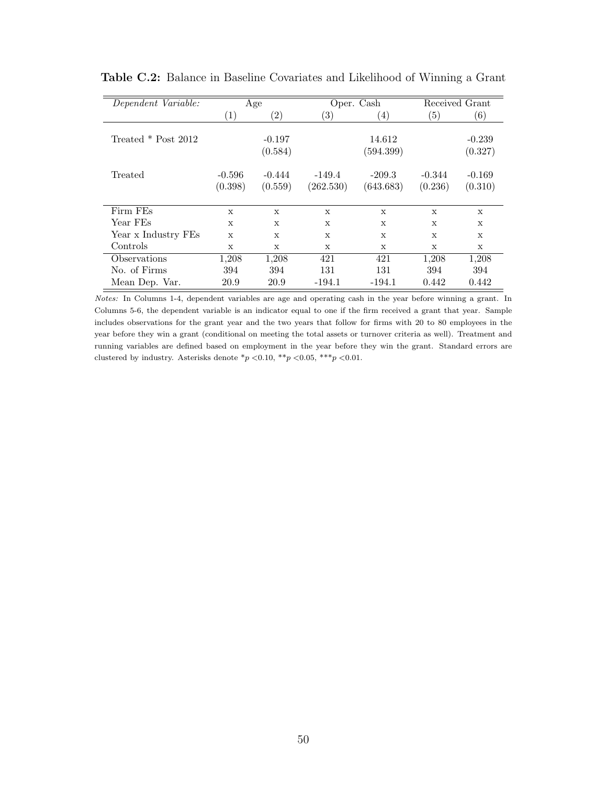<span id="page-50-0"></span>

| Dependent Variable: | Age               |                   |                   | Oper. Cash        |              | Received Grant    |  |
|---------------------|-------------------|-------------------|-------------------|-------------------|--------------|-------------------|--|
|                     | $\left( 1\right)$ | $\left( 2\right)$ | $\left( 3\right)$ | $\left( 4\right)$ | (5)          | $\left( 6\right)$ |  |
|                     |                   |                   |                   |                   |              |                   |  |
| Treated * Post 2012 |                   | $-0.197$          |                   | 14.612            |              | $-0.239$          |  |
|                     |                   | (0.584)           |                   | (594.399)         |              | (0.327)           |  |
|                     |                   |                   |                   |                   |              |                   |  |
| Treated             | $-0.596$          | $-0.444$          | $-149.4$          | $-209.3$          | $-0.344$     | $-0.169$          |  |
|                     | (0.398)           | (0.559)           | (262.530)         | (643.683)         | (0.236)      | (0.310)           |  |
|                     |                   |                   |                   |                   |              |                   |  |
| Firm FEs            | X                 | $\mathbf{x}$      | $\mathbf x$       | $\mathbf x$       | $\mathbf x$  | X                 |  |
| Year FEs            | X                 | X                 | X                 | X                 | X            | X                 |  |
| Year x Industry FEs | $\mathbf x$       | X                 | X                 | X                 | $\mathbf{x}$ | X                 |  |
| Controls            | X                 | $\mathbf{x}$      | $\mathbf{x}$      | $\mathbf{x}$      | $\mathbf{x}$ | $\mathbf{x}$      |  |
| Observations        | 1,208             | 1,208             | 421               | 421               | 1,208        | 1,208             |  |
| No. of Firms        | 394               | 394               | 131               | 131               | 394          | 394               |  |
| Mean Dep. Var.      | 20.9              | 20.9              | $-194.1$          | $-194.1$          | 0.442        | 0.442             |  |

Table C.2: Balance in Baseline Covariates and Likelihood of Winning a Grant

Notes: In Columns 1-4, dependent variables are age and operating cash in the year before winning a grant. In Columns 5-6, the dependent variable is an indicator equal to one if the firm received a grant that year. Sample includes observations for the grant year and the two years that follow for firms with 20 to 80 employees in the year before they win a grant (conditional on meeting the total assets or turnover criteria as well). Treatment and running variables are defined based on employment in the year before they win the grant. Standard errors are clustered by industry. Asterisks denote  $p$  < 0.10, \*\*p < 0.05, \*\*\*p < 0.01.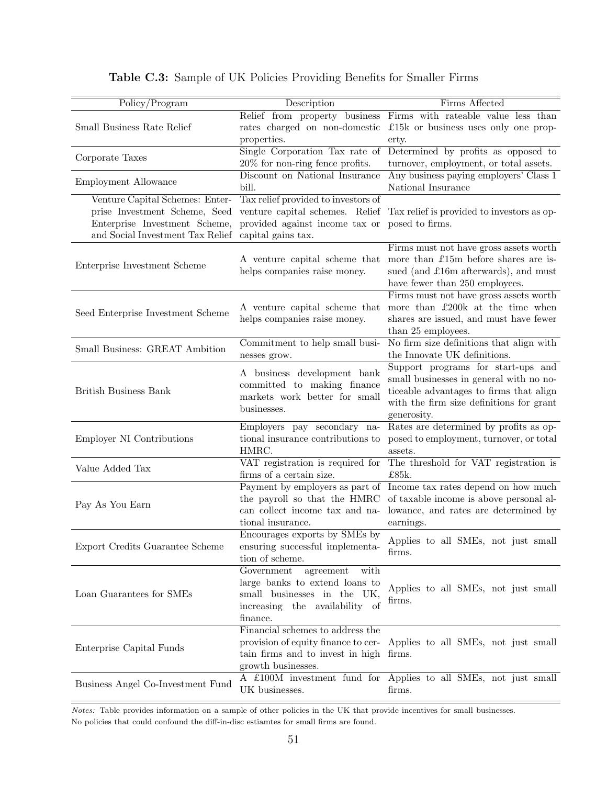<span id="page-51-0"></span>

| $\overline{Policy/Program}$       | Description                                                       | Firms Affected                                                     |  |  |
|-----------------------------------|-------------------------------------------------------------------|--------------------------------------------------------------------|--|--|
|                                   |                                                                   | Relief from property business Firms with rateable value less than  |  |  |
| Small Business Rate Relief        | rates charged on non-domestic                                     | £15 $k$ or business uses only one prop-                            |  |  |
|                                   | properties.                                                       | erty.                                                              |  |  |
| Corporate Taxes                   |                                                                   | Single Corporation Tax rate of Determined by profits as opposed to |  |  |
|                                   | 20% for non-ring fence profits.                                   | turnover, employment, or total assets.                             |  |  |
| Employment Allowance              | Discount on National Insurance<br>bill.                           | Any business paying employers' Class 1<br>National Insurance       |  |  |
| Venture Capital Schemes: Enter-   | Tax relief provided to investors of                               |                                                                    |  |  |
| prise Investment Scheme, Seed     | venture capital schemes. Relief                                   | Tax relief is provided to investors as op-                         |  |  |
| Enterprise Investment Scheme,     | provided against income tax or                                    | posed to firms.                                                    |  |  |
| and Social Investment Tax Relief  | capital gains tax.                                                |                                                                    |  |  |
|                                   |                                                                   | Firms must not have gross assets worth                             |  |  |
| Enterprise Investment Scheme      | A venture capital scheme that                                     | more than £15m before shares are is-                               |  |  |
|                                   | helps companies raise money.                                      | sued (and £16m afterwards), and must                               |  |  |
|                                   |                                                                   | have fewer than 250 employees.                                     |  |  |
|                                   |                                                                   | Firms must not have gross assets worth                             |  |  |
| Seed Enterprise Investment Scheme | A venture capital scheme that                                     | more than £200k at the time when                                   |  |  |
|                                   | helps companies raise money.                                      | shares are issued, and must have fewer                             |  |  |
|                                   | Commitment to help small busi-                                    | than 25 employees.<br>No firm size definitions that align with     |  |  |
| Small Business: GREAT Ambition    |                                                                   | the Innovate UK definitions.                                       |  |  |
|                                   | nesses grow.                                                      | Support programs for start-ups and                                 |  |  |
|                                   | A business development bank                                       | small businesses in general with no no-                            |  |  |
| <b>British Business Bank</b>      | committed to making finance                                       | ticeable advantages to firms that align                            |  |  |
|                                   | markets work better for small                                     | with the firm size definitions for grant                           |  |  |
|                                   | businesses.                                                       | generosity.                                                        |  |  |
|                                   | Employers pay secondary na-                                       | Rates are determined by profits as op-                             |  |  |
| <b>Employer NI Contributions</b>  | tional insurance contributions to                                 | posed to employment, turnover, or total                            |  |  |
|                                   | HMRC.                                                             | assets.                                                            |  |  |
| Value Added Tax                   | VAT registration is required for                                  | The threshold for VAT registration is                              |  |  |
|                                   | firms of a certain size.                                          | £85k.                                                              |  |  |
|                                   | Payment by employers as part of                                   | Income tax rates depend on how much                                |  |  |
| Pay As You Earn                   | the payroll so that the HMRC                                      | of taxable income is above personal al-                            |  |  |
|                                   | can collect income tax and na-                                    | lowance, and rates are determined by                               |  |  |
|                                   | tional insurance.                                                 | earnings.                                                          |  |  |
|                                   | Encourages exports by SMEs by                                     | Applies to all SMEs, not just small                                |  |  |
| Export Credits Guarantee Scheme   | ensuring successful implementa-                                   | firms.                                                             |  |  |
|                                   | tion of scheme.                                                   |                                                                    |  |  |
|                                   | Government<br>agreement<br>with<br>large banks to extend loans to |                                                                    |  |  |
| Loan Guarantees for SMEs          | small businesses in the UK,                                       | Applies to all SMEs, not just small                                |  |  |
|                                   | increasing the availability of                                    | firms.                                                             |  |  |
|                                   | finance.                                                          |                                                                    |  |  |
|                                   | Financial schemes to address the                                  |                                                                    |  |  |
|                                   | provision of equity finance to cer-                               | Applies to all SMEs, not just small                                |  |  |
| Enterprise Capital Funds          | tain firms and to invest in high firms.                           |                                                                    |  |  |
|                                   | growth businesses.                                                |                                                                    |  |  |
|                                   |                                                                   | A £100M investment fund for Applies to all SMEs, not just small    |  |  |
| Business Angel Co-Investment Fund | UK businesses.                                                    | firms.                                                             |  |  |
|                                   |                                                                   |                                                                    |  |  |

|  | Table C.3: Sample of UK Policies Providing Benefits for Smaller Firms |  |  |  |  |  |  |
|--|-----------------------------------------------------------------------|--|--|--|--|--|--|
|--|-----------------------------------------------------------------------|--|--|--|--|--|--|

Notes: Table provides information on a sample of other policies in the UK that provide incentives for small businesses. No policies that could confound the diff-in-disc estiamtes for small firms are found.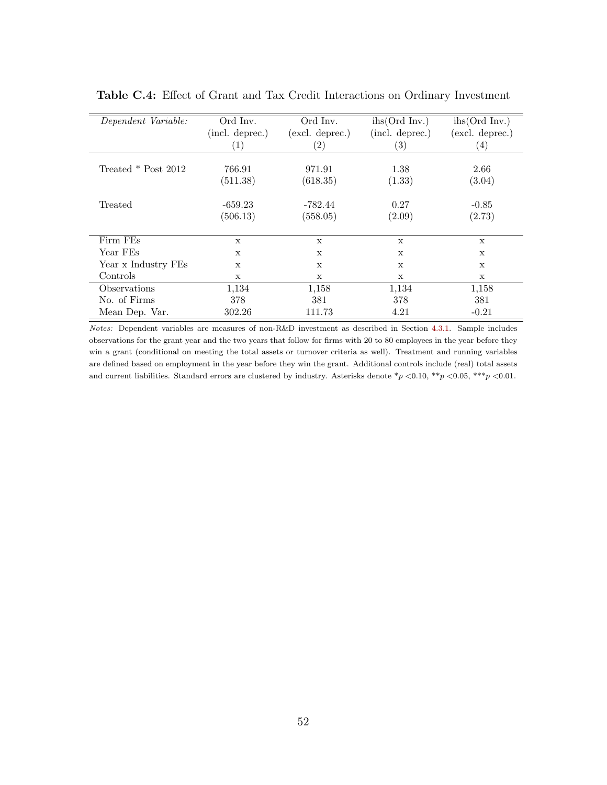<span id="page-52-0"></span>

| Dependent Variable: | Ord Inv.               | $\overline{Ord}$ Inv. | $i\text{hs}(\text{Ord}\text{Inv.})$ | $i\text{hs}(\text{Ord}\text{Inv.})$ |
|---------------------|------------------------|-----------------------|-------------------------------------|-------------------------------------|
|                     | (incl. deprec.)        | (excl. deprec.)       | (incl. deprec.)                     | (excl. deprec.)                     |
|                     | $\left 1\right\rangle$ | $\left( 2\right)$     | (3)                                 | $\left(4\right)$                    |
|                     |                        |                       |                                     |                                     |
| Treated * Post 2012 | 766.91                 | 971.91                | 1.38                                | 2.66                                |
|                     | (511.38)               | (618.35)              | (1.33)                              | (3.04)                              |
| Treated             | $-659.23$              | -782.44               | 0.27                                | $-0.85$                             |
|                     | (506.13)               | (558.05)              | (2.09)                              | (2.73)                              |
| Firm FEs            | X                      | X                     | X                                   | $\mathbf x$                         |
| Year FEs            | X                      | $\mathbf x$           | X                                   | $\mathbf x$                         |
| Year x Industry FEs | $\mathbf x$            | $\mathbf{x}$          | $\mathbf x$                         | $\mathbf x$                         |
| Controls            | X                      | X                     | X                                   | X                                   |
| Observations        | 1,134                  | 1,158                 | 1,134                               | 1,158                               |
| No. of Firms        | 378                    | 381                   | 378                                 | 381                                 |
| Mean Dep. Var.      | 302.26                 | 111.73                | 4.21                                | $-0.21$                             |

Table C.4: Effect of Grant and Tax Credit Interactions on Ordinary Investment

Notes: Dependent variables are measures of non-R&D investment as described in Section [4.3.1.](#page-17-1) Sample includes observations for the grant year and the two years that follow for firms with 20 to 80 employees in the year before they win a grant (conditional on meeting the total assets or turnover criteria as well). Treatment and running variables are defined based on employment in the year before they win the grant. Additional controls include (real) total assets and current liabilities. Standard errors are clustered by industry. Asterisks denote  $\frac{*p}{0.10}$ ,  $\frac{**p}{0.05}$ ,  $\frac{***p}{0.01}$ .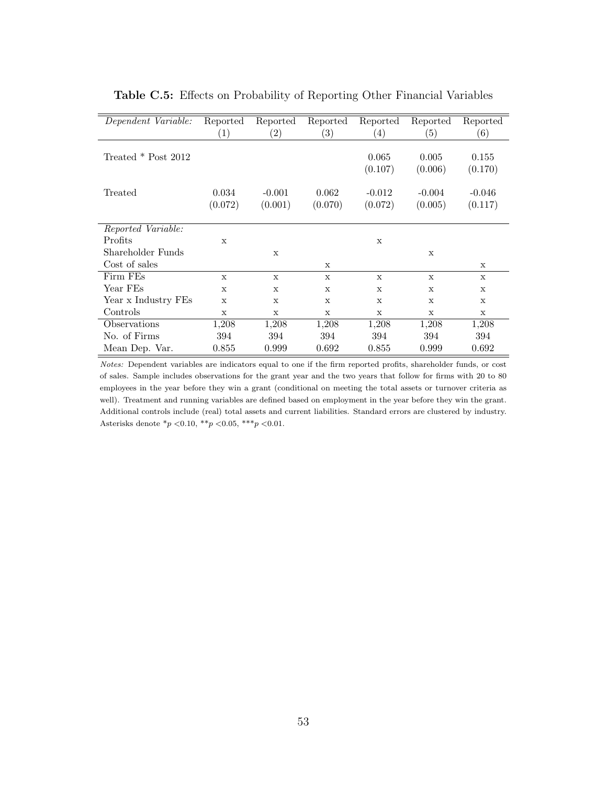<span id="page-53-0"></span>

| Dependent Variable: | Reported     | Reported          | Reported          | Reported    | Reported    | Reported    |
|---------------------|--------------|-------------------|-------------------|-------------|-------------|-------------|
|                     | (1)          | $\left( 2\right)$ | $\left( 3\right)$ | (4)         | (5)         | (6)         |
|                     |              |                   |                   |             |             |             |
| Treated * Post 2012 |              |                   |                   | 0.065       | 0.005       | 0.155       |
|                     |              |                   |                   | (0.107)     | (0.006)     | (0.170)     |
|                     |              |                   |                   |             |             |             |
| Treated             | 0.034        | $-0.001$          | 0.062             | $-0.012$    | $-0.004$    | $-0.046$    |
|                     | (0.072)      | (0.001)           | (0.070)           | (0.072)     | (0.005)     | (0.117)     |
|                     |              |                   |                   |             |             |             |
| Reported Variable:  |              |                   |                   |             |             |             |
| Profits             | $\mathbf x$  |                   |                   | X           |             |             |
| Shareholder Funds   |              | $\mathbf x$       |                   |             | X           |             |
| Cost of sales       |              |                   | X                 |             |             | X           |
| Firm FEs            | $\mathbf{x}$ | $\mathbf x$       | X                 | $\mathbf x$ | $\mathbf x$ | X           |
| Year FEs            | $\mathbf x$  | $\mathbf x$       | X                 | $\mathbf x$ | $\mathbf x$ | $\mathbf x$ |
| Year x Industry FEs | X            | X                 | X                 | X           | X           | X           |
| Controls            | X            | X                 | $\mathbf x$       | X           | X           | $\mathbf x$ |
| Observations        | 1,208        | 1,208             | 1,208             | 1,208       | 1,208       | 1,208       |
| No. of Firms        | 394          | 394               | 394               | 394         | 394         | 394         |
| Mean Dep. Var.      | 0.855        | 0.999             | 0.692             | 0.855       | 0.999       | 0.692       |

Table C.5: Effects on Probability of Reporting Other Financial Variables

Notes: Dependent variables are indicators equal to one if the firm reported profits, shareholder funds, or cost of sales. Sample includes observations for the grant year and the two years that follow for firms with 20 to 80 employees in the year before they win a grant (conditional on meeting the total assets or turnover criteria as well). Treatment and running variables are defined based on employment in the year before they win the grant. Additional controls include (real) total assets and current liabilities. Standard errors are clustered by industry. Asterisks denote  $*_p$  < 0.10,  $*_p$  < 0.05,  $**_p$  < 0.01.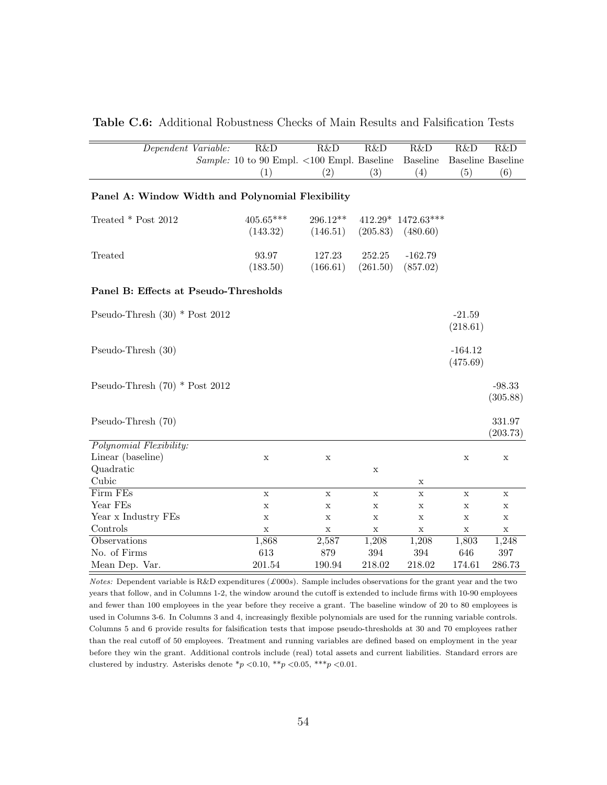<span id="page-54-0"></span>

| Dependent Variable:                              | R&D                                                         | R&D                  | R&D                | R&D                              | R&D                   | R&D                      |
|--------------------------------------------------|-------------------------------------------------------------|----------------------|--------------------|----------------------------------|-----------------------|--------------------------|
|                                                  | Sample: 10 to 90 Empl. $\langle 100 \text{ Empl.}$ Baseline |                      |                    | <b>Baseline</b>                  |                       | <b>Baseline</b> Baseline |
|                                                  | (1)                                                         | (2)                  | (3)                | (4)                              | (5)                   | (6)                      |
| Panel A: Window Width and Polynomial Flexibility |                                                             |                      |                    |                                  |                       |                          |
| Treated * Post 2012                              | $405.65***$<br>(143.32)                                     | 296.12**<br>(146.51) | (205.83)           | $412.29* 1472.63***$<br>(480.60) |                       |                          |
| Treated                                          | 93.97<br>(183.50)                                           | 127.23<br>(166.61)   | 252.25<br>(261.50) | $-162.79$<br>(857.02)            |                       |                          |
| Panel B: Effects at Pseudo-Thresholds            |                                                             |                      |                    |                                  |                       |                          |
| Pseudo-Thresh $(30)$ * Post 2012                 |                                                             |                      |                    |                                  | $-21.59$<br>(218.61)  |                          |
| Pseudo-Thresh (30)                               |                                                             |                      |                    |                                  | $-164.12$<br>(475.69) |                          |
| Pseudo-Thresh $(70)$ * Post 2012                 |                                                             |                      |                    |                                  |                       | $-98.33$<br>(305.88)     |
| Pseudo-Thresh (70)                               |                                                             |                      |                    |                                  |                       | 331.97<br>(203.73)       |
| Polynomial Flexibility:                          |                                                             |                      |                    |                                  |                       |                          |
| Linear (baseline)                                | $\mathbf X$                                                 | $\mathbf X$          |                    |                                  | $\mathbf X$           | $\mathbf X$              |
| Quadratic                                        |                                                             |                      | $\mathbf X$        |                                  |                       |                          |
| Cubic                                            |                                                             |                      |                    | X                                |                       |                          |
| Firm FEs                                         | $\mathbf X$                                                 | $\mathbf X$          | $\mathbf X$        | $\mathbf X$                      | $\mathbf X$           | $\mathbf X$              |
| Year FEs                                         | X                                                           | X                    | X                  | $\mathbf X$                      | $\mathbf X$           | X                        |
| Year x Industry FEs                              | $\mathbf X$                                                 | $\mathbf x$          | $\mathbf x$        | $\mathbf x$                      | $\mathbf x$           | $\mathbf X$              |
| Controls                                         | $\mathbf x$                                                 | $\mathbf X$          | $\mathbf x$        | $\mathbf X$                      | $\mathbf x$           | $\mathbf X$              |
| Observations                                     | 1,868                                                       | 2,587                | 1,208              | 1,208                            | 1,803                 | 1,248                    |
| No. of Firms                                     | 613                                                         | 879                  | 394                | 394                              | 646                   | $397\,$                  |
| Mean Dep. Var.                                   | 201.54                                                      | 190.94               | 218.02             | 218.02                           | 174.61                | 286.73                   |

Table C.6: Additional Robustness Checks of Main Results and Falsification Tests

Notes: Dependent variable is R&D expenditures (£000s). Sample includes observations for the grant year and the two years that follow, and in Columns 1-2, the window around the cutoff is extended to include firms with 10-90 employees and fewer than 100 employees in the year before they receive a grant. The baseline window of 20 to 80 employees is used in Columns 3-6. In Columns 3 and 4, increasingly flexible polynomials are used for the running variable controls. Columns 5 and 6 provide results for falsification tests that impose pseudo-thresholds at 30 and 70 employees rather than the real cutoff of 50 employees. Treatment and running variables are defined based on employment in the year before they win the grant. Additional controls include (real) total assets and current liabilities. Standard errors are clustered by industry. Asterisks denote  $p$  < 0.10, \*\*p < 0.05, \*\*\*p < 0.01.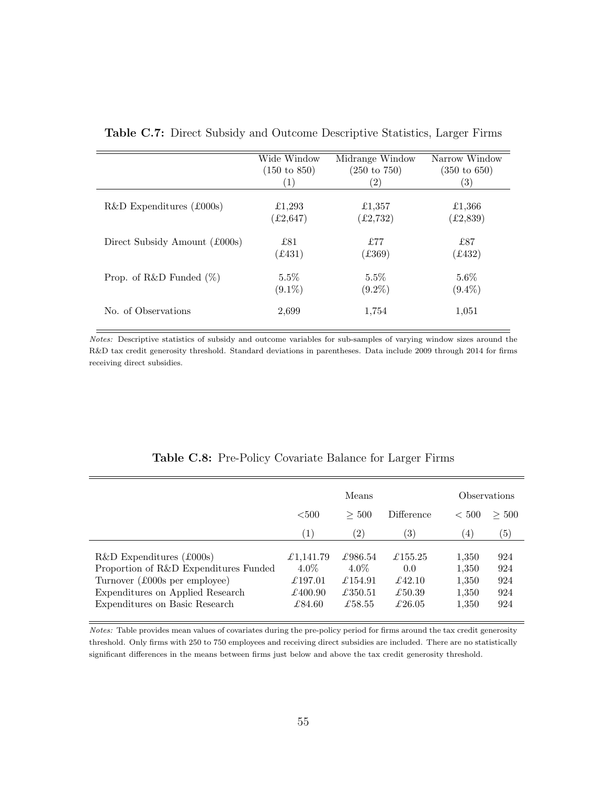<span id="page-55-0"></span>

|                               | Wide Window             | Midrange Window         | Narrow Window           |
|-------------------------------|-------------------------|-------------------------|-------------------------|
|                               | $(150 \text{ to } 850)$ | $(250 \text{ to } 750)$ | $(350 \text{ to } 650)$ |
|                               | (1)                     | $\left( 2\right)$       | $\left( 3\right)$       |
| $R&D$ Expenditures (£000s)    | £1,293                  | £1,357                  | £1,366                  |
|                               | (£2,647)                | (E2, 732)               | (£2, 839)               |
| Direct Subsidy Amount (£000s) | £81                     | £77                     | £87                     |
|                               | (£431)                  | (£369)                  | (£432)                  |
| Prop. of R&D Funded $(\%)$    | $5.5\%$                 | $5.5\%$                 | $5.6\%$                 |
|                               | $(9.1\%)$               | $(9.2\%)$               | $(9.4\%)$               |
| No. of Observations           | 2,699                   | 1,754                   | 1,051                   |

Table C.7: Direct Subsidy and Outcome Descriptive Statistics, Larger Firms

Notes: Descriptive statistics of subsidy and outcome variables for sub-samples of varying window sizes around the R&D tax credit generosity threshold. Standard deviations in parentheses. Data include 2009 through 2014 for firms receiving direct subsidies.

<span id="page-55-1"></span>

|                                                                                                                                                                            | Means                                                                  |                                                                               |                                                                         | Observations                              |                                 |  |
|----------------------------------------------------------------------------------------------------------------------------------------------------------------------------|------------------------------------------------------------------------|-------------------------------------------------------------------------------|-------------------------------------------------------------------------|-------------------------------------------|---------------------------------|--|
|                                                                                                                                                                            | $500$                                                                  | > 500                                                                         | <b>Difference</b>                                                       | < 500                                     | >500                            |  |
|                                                                                                                                                                            | $\left( 1\right)$                                                      | $\left( 2\right)$                                                             | (3)                                                                     | (4)                                       | $\left( 5\right)$               |  |
| $R&D$ Expenditures (£000s)<br>Proportion of R&D Expenditures Funded<br>Turnover (£000s per employee)<br>Expenditures on Applied Research<br>Expenditures on Basic Research | £1,141.79<br>$4.0\%$<br>$\pounds$ 197.01<br>$\pounds 400.90$<br>£84.60 | £986.54<br>$4.0\%$<br>$\pounds$ 154.91<br>$\pounds$ 350.51<br>$\pounds$ 58.55 | $\pounds$ 155.25<br>0.0<br>$\pounds$ 42.10<br>£50.39<br>$\pounds 26.05$ | 1,350<br>1,350<br>1,350<br>1,350<br>1,350 | 924<br>924<br>924<br>924<br>924 |  |

Table C.8: Pre-Policy Covariate Balance for Larger Firms

Notes: Table provides mean values of covariates during the pre-policy period for firms around the tax credit generosity threshold. Only firms with 250 to 750 employees and receiving direct subsidies are included. There are no statistically significant differences in the means between firms just below and above the tax credit generosity threshold.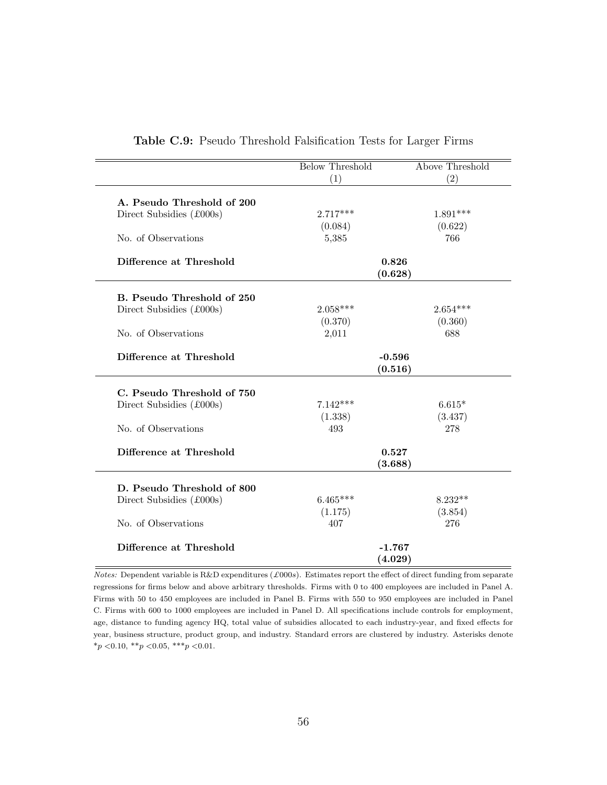<span id="page-56-0"></span>

|                                         | <b>Below Threshold</b> | <b>Above Threshold</b> |  |  |
|-----------------------------------------|------------------------|------------------------|--|--|
|                                         | (1)                    | (2)                    |  |  |
|                                         |                        |                        |  |  |
| A. Pseudo Threshold of 200              |                        |                        |  |  |
| Direct Subsidies (£000s)                | $2.717***$             | $1.891***$             |  |  |
|                                         | (0.084)                | (0.622)                |  |  |
| No. of Observations                     | 5,385                  | 766                    |  |  |
| Difference at Threshold                 | 0.826                  |                        |  |  |
|                                         | (0.628)                |                        |  |  |
|                                         |                        |                        |  |  |
| B. Pseudo Threshold of 250              |                        |                        |  |  |
| Direct Subsidies $(\text{\pounds}000s)$ | $2.058***$             | $2.654***$             |  |  |
|                                         | (0.370)                | (0.360)                |  |  |
| No. of Observations                     | 2,011                  | 688                    |  |  |
|                                         |                        |                        |  |  |
| Difference at Threshold                 | $-0.596$               |                        |  |  |
|                                         | (0.516)                |                        |  |  |
| C. Pseudo Threshold of 750              |                        |                        |  |  |
| Direct Subsidies $(\text{\pounds}000s)$ | $7.142***$             | $6.615*$               |  |  |
|                                         | (1.338)                | (3.437)                |  |  |
| No. of Observations                     | 493                    | 278                    |  |  |
|                                         |                        |                        |  |  |
| Difference at Threshold                 | 0.527                  |                        |  |  |
|                                         | (3.688)                |                        |  |  |
|                                         |                        |                        |  |  |
| D. Pseudo Threshold of 800              |                        |                        |  |  |
| Direct Subsidies $(\text{\pounds}000s)$ | $6.465***$             | $8.232**$              |  |  |
|                                         | (1.175)                | (3.854)                |  |  |
| No. of Observations                     | 407                    | 276                    |  |  |
|                                         |                        |                        |  |  |
| Difference at Threshold                 | $-1.767$               |                        |  |  |
|                                         | $\left( 4.029\right)$  |                        |  |  |

|  |  |  |  | Table C.9: Pseudo Threshold Falsification Tests for Larger Firms |  |  |  |  |
|--|--|--|--|------------------------------------------------------------------|--|--|--|--|
|--|--|--|--|------------------------------------------------------------------|--|--|--|--|

Notes: Dependent variable is R&D expenditures (£000s). Estimates report the effect of direct funding from separate regressions for firms below and above arbitrary thresholds. Firms with 0 to 400 employees are included in Panel A. Firms with 50 to 450 employees are included in Panel B. Firms with 550 to 950 employees are included in Panel C. Firms with 600 to 1000 employees are included in Panel D. All specifications include controls for employment, age, distance to funding agency HQ, total value of subsidies allocated to each industry-year, and fixed effects for year, business structure, product group, and industry. Standard errors are clustered by industry. Asterisks denote  $^{\ast}p$  <0.10,  $^{\ast\ast}p$  <0.05,  $^{\ast\ast\ast}p$  <0.01.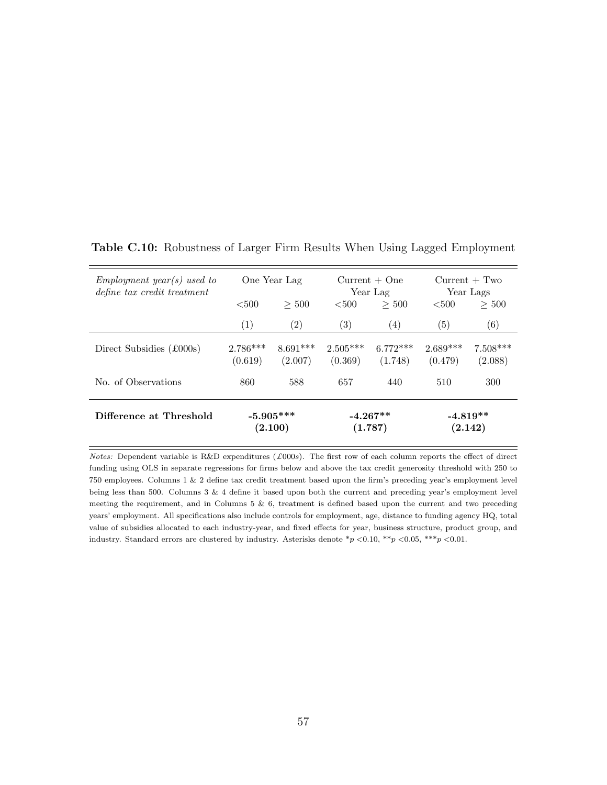<span id="page-57-0"></span>

| $Emplogment\; year(s) \; used\; to$<br>define tax credit treatment |                         | One Year Lag          |                       | $Current + One$<br>Year Lag | $Current + Two$<br>Year Lags |                       |
|--------------------------------------------------------------------|-------------------------|-----------------------|-----------------------|-----------------------------|------------------------------|-----------------------|
|                                                                    | < 500<br>< 500<br>> 500 |                       |                       | > 500                       | ${<}500$                     | >500                  |
|                                                                    | $\left(1\right)$        | $\left( 2\right)$     | (3)                   | $\left( 4\right)$           | (5)                          | (6)                   |
| Direct Subsidies (£000s)                                           | $2.786***$<br>(0.619)   | $8.691***$<br>(2.007) | $2.505***$<br>(0.369) | $6.772***$<br>(1.748)       | $2.689***$<br>(0.479)        | $7.508***$<br>(2.088) |
| No. of Observations                                                | 860                     | 588                   | 657                   | 440                         | 510                          | 300                   |
| Difference at Threshold                                            | $-5.905***$<br>(2.100)  |                       | $-4.267**$<br>(1.787) |                             | $-4.819**$<br>(2.142)        |                       |

Table C.10: Robustness of Larger Firm Results When Using Lagged Employment

Notes: Dependent variable is R&D expenditures  $(\text{\pounds}000s)$ . The first row of each column reports the effect of direct funding using OLS in separate regressions for firms below and above the tax credit generosity threshold with 250 to 750 employees. Columns 1 & 2 define tax credit treatment based upon the firm's preceding year's employment level being less than 500. Columns 3 & 4 define it based upon both the current and preceding year's employment level meeting the requirement, and in Columns 5 & 6, treatment is defined based upon the current and two preceding years' employment. All specifications also include controls for employment, age, distance to funding agency HQ, total value of subsidies allocated to each industry-year, and fixed effects for year, business structure, product group, and industry. Standard errors are clustered by industry. Asterisks denote  $\binom{*}{p}$  <0.10,  $\binom{**}{p}$  <0.05, \*\*\*p <0.01.